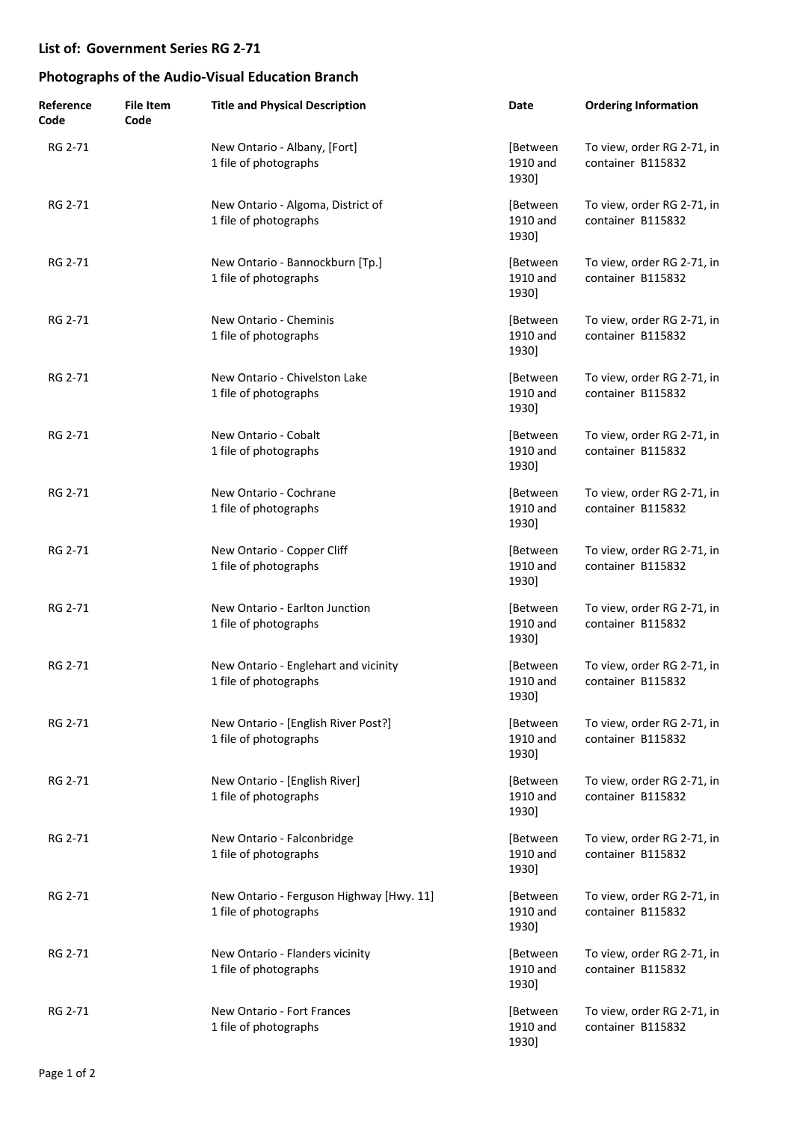| Reference<br>Code | <b>File Item</b><br>Code | <b>Title and Physical Description</b>                             | Date                          | <b>Ordering Information</b>                     |
|-------------------|--------------------------|-------------------------------------------------------------------|-------------------------------|-------------------------------------------------|
| RG 2-71           |                          | New Ontario - Albany, [Fort]<br>1 file of photographs             | [Between<br>1910 and<br>1930] | To view, order RG 2-71, in<br>container B115832 |
| RG 2-71           |                          | New Ontario - Algoma, District of<br>1 file of photographs        | [Between<br>1910 and<br>1930] | To view, order RG 2-71, in<br>container B115832 |
| RG 2-71           |                          | New Ontario - Bannockburn [Tp.]<br>1 file of photographs          | [Between<br>1910 and<br>1930] | To view, order RG 2-71, in<br>container B115832 |
| RG 2-71           |                          | New Ontario - Cheminis<br>1 file of photographs                   | [Between<br>1910 and<br>1930] | To view, order RG 2-71, in<br>container B115832 |
| RG 2-71           |                          | New Ontario - Chivelston Lake<br>1 file of photographs            | [Between<br>1910 and<br>1930] | To view, order RG 2-71, in<br>container B115832 |
| RG 2-71           |                          | New Ontario - Cobalt<br>1 file of photographs                     | [Between<br>1910 and<br>1930] | To view, order RG 2-71, in<br>container B115832 |
| RG 2-71           |                          | New Ontario - Cochrane<br>1 file of photographs                   | [Between<br>1910 and<br>1930] | To view, order RG 2-71, in<br>container B115832 |
| RG 2-71           |                          | New Ontario - Copper Cliff<br>1 file of photographs               | [Between<br>1910 and<br>1930] | To view, order RG 2-71, in<br>container B115832 |
| RG 2-71           |                          | New Ontario - Earlton Junction<br>1 file of photographs           | [Between<br>1910 and<br>1930] | To view, order RG 2-71, in<br>container B115832 |
| RG 2-71           |                          | New Ontario - Englehart and vicinity<br>1 file of photographs     | [Between<br>1910 and<br>1930] | To view, order RG 2-71, in<br>container B115832 |
| RG 2-71           |                          | New Ontario - [English River Post?]<br>1 file of photographs      | [Between<br>1910 and<br>1930] | To view, order RG 2-71, in<br>container B115832 |
| RG 2-71           |                          | New Ontario - [English River]<br>1 file of photographs            | [Between<br>1910 and<br>1930] | To view, order RG 2-71, in<br>container B115832 |
| RG 2-71           |                          | New Ontario - Falconbridge<br>1 file of photographs               | [Between<br>1910 and<br>1930] | To view, order RG 2-71, in<br>container B115832 |
| RG 2-71           |                          | New Ontario - Ferguson Highway [Hwy. 11]<br>1 file of photographs | [Between<br>1910 and<br>1930] | To view, order RG 2-71, in<br>container B115832 |
| RG 2-71           |                          | New Ontario - Flanders vicinity<br>1 file of photographs          | [Between<br>1910 and<br>1930] | To view, order RG 2-71, in<br>container B115832 |
| RG 2-71           |                          | New Ontario - Fort Frances<br>1 file of photographs               | [Between<br>1910 and<br>1930] | To view, order RG 2-71, in<br>container B115832 |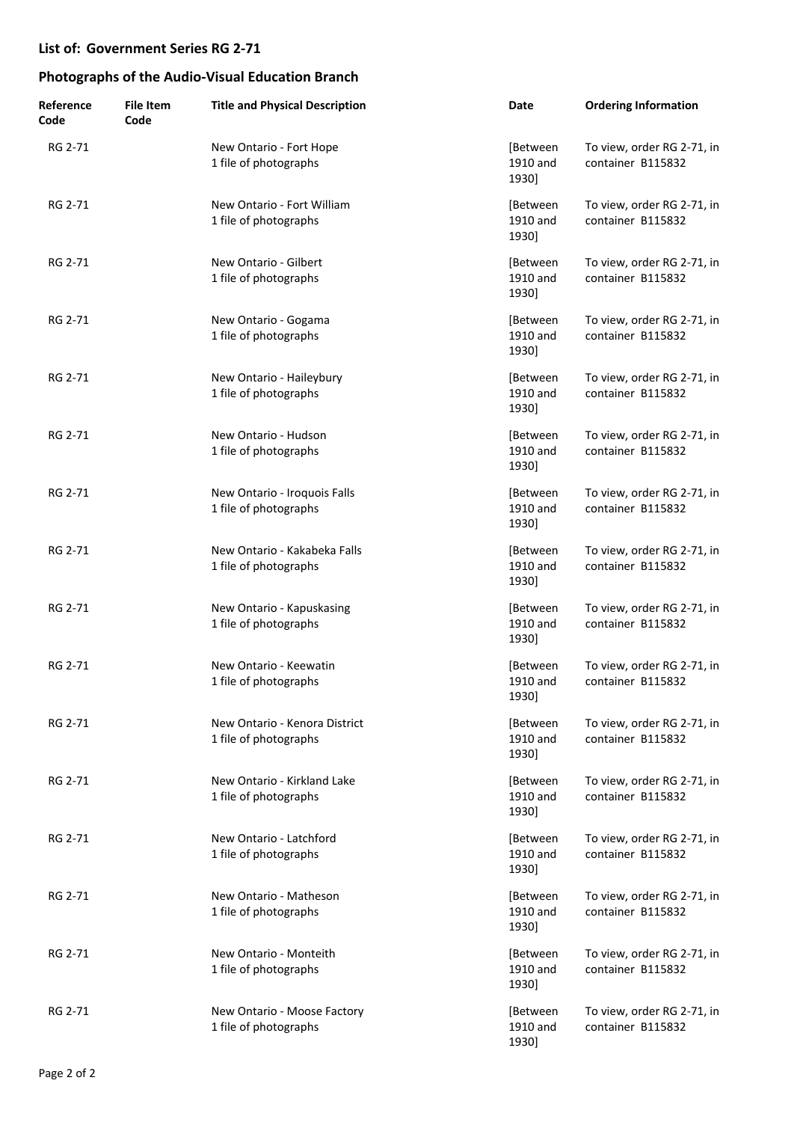| Reference<br>Code | <b>File Item</b><br>Code | <b>Title and Physical Description</b>                  | Date                          | <b>Ordering Information</b>                     |
|-------------------|--------------------------|--------------------------------------------------------|-------------------------------|-------------------------------------------------|
| RG 2-71           |                          | New Ontario - Fort Hope<br>1 file of photographs       | [Between<br>1910 and<br>1930] | To view, order RG 2-71, in<br>container B115832 |
| RG 2-71           |                          | New Ontario - Fort William<br>1 file of photographs    | [Between<br>1910 and<br>1930] | To view, order RG 2-71, in<br>container B115832 |
| RG 2-71           |                          | New Ontario - Gilbert<br>1 file of photographs         | [Between<br>1910 and<br>1930] | To view, order RG 2-71, in<br>container B115832 |
| RG 2-71           |                          | New Ontario - Gogama<br>1 file of photographs          | [Between<br>1910 and<br>1930] | To view, order RG 2-71, in<br>container B115832 |
| RG 2-71           |                          | New Ontario - Haileybury<br>1 file of photographs      | [Between<br>1910 and<br>1930] | To view, order RG 2-71, in<br>container B115832 |
| RG 2-71           |                          | New Ontario - Hudson<br>1 file of photographs          | [Between<br>1910 and<br>1930] | To view, order RG 2-71, in<br>container B115832 |
| RG 2-71           |                          | New Ontario - Iroquois Falls<br>1 file of photographs  | [Between<br>1910 and<br>1930] | To view, order RG 2-71, in<br>container B115832 |
| RG 2-71           |                          | New Ontario - Kakabeka Falls<br>1 file of photographs  | [Between<br>1910 and<br>1930] | To view, order RG 2-71, in<br>container B115832 |
| RG 2-71           |                          | New Ontario - Kapuskasing<br>1 file of photographs     | [Between<br>1910 and<br>1930] | To view, order RG 2-71, in<br>container B115832 |
| RG 2-71           |                          | New Ontario - Keewatin<br>1 file of photographs        | [Between<br>1910 and<br>1930] | To view, order RG 2-71, in<br>container B115832 |
| RG 2-71           |                          | New Ontario - Kenora District<br>1 file of photographs | [Between<br>1910 and<br>1930] | To view, order RG 2-71, in<br>container B115832 |
| RG 2-71           |                          | New Ontario - Kirkland Lake<br>1 file of photographs   | [Between<br>1910 and<br>1930] | To view, order RG 2-71, in<br>container B115832 |
| RG 2-71           |                          | New Ontario - Latchford<br>1 file of photographs       | [Between<br>1910 and<br>1930] | To view, order RG 2-71, in<br>container B115832 |
| RG 2-71           |                          | New Ontario - Matheson<br>1 file of photographs        | [Between<br>1910 and<br>1930] | To view, order RG 2-71, in<br>container B115832 |
| RG 2-71           |                          | New Ontario - Monteith<br>1 file of photographs        | [Between<br>1910 and<br>1930] | To view, order RG 2-71, in<br>container B115832 |
| RG 2-71           |                          | New Ontario - Moose Factory<br>1 file of photographs   | [Between<br>1910 and<br>1930] | To view, order RG 2-71, in<br>container B115832 |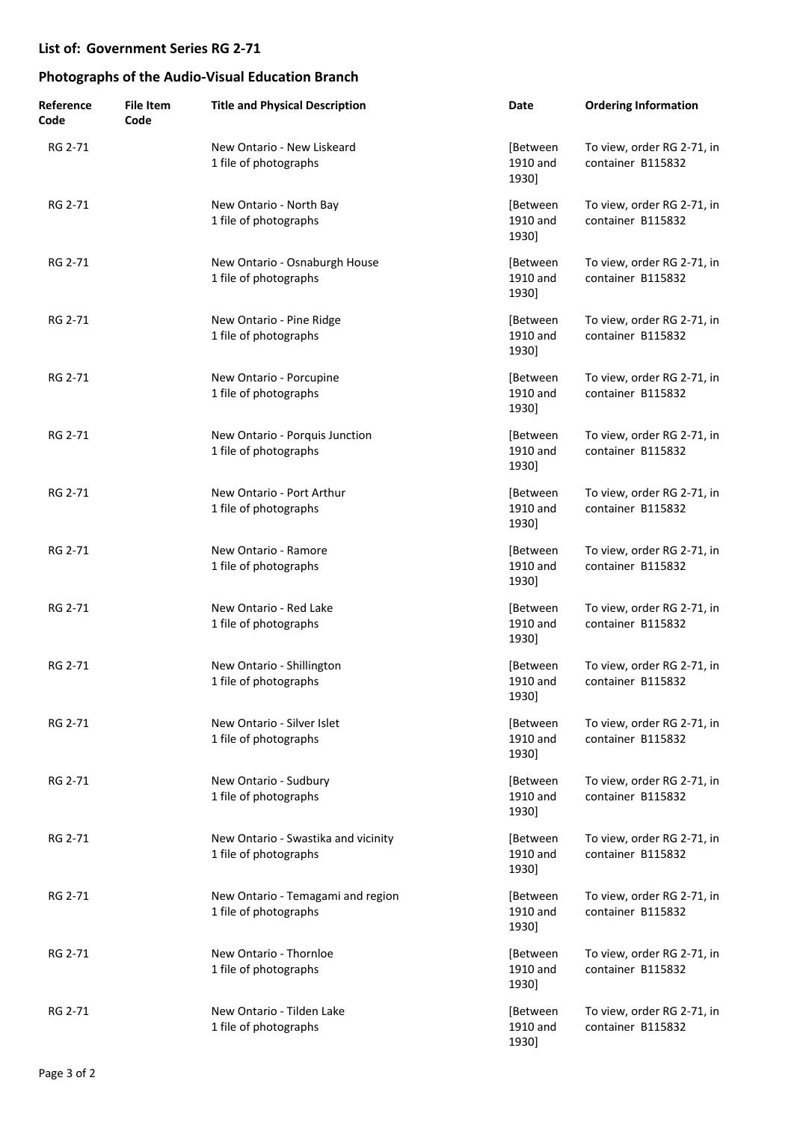| Reference<br>Code | <b>File Item</b><br>Code | <b>Title and Physical Description</b>                        | Date                          | <b>Ordering Information</b>                     |
|-------------------|--------------------------|--------------------------------------------------------------|-------------------------------|-------------------------------------------------|
| RG 2-71           |                          | New Ontario - New Liskeard<br>1 file of photographs          | [Between<br>1910 and<br>1930] | To view, order RG 2-71, in<br>container B115832 |
| RG 2-71           |                          | New Ontario - North Bay<br>1 file of photographs             | [Between<br>1910 and<br>1930] | To view, order RG 2-71, in<br>container B115832 |
| RG 2-71           |                          | New Ontario - Osnaburgh House<br>1 file of photographs       | [Between<br>1910 and<br>1930] | To view, order RG 2-71, in<br>container B115832 |
| RG 2-71           |                          | New Ontario - Pine Ridge<br>1 file of photographs            | [Between<br>1910 and<br>1930] | To view, order RG 2-71, in<br>container B115832 |
| RG 2-71           |                          | New Ontario - Porcupine<br>1 file of photographs             | [Between<br>1910 and<br>1930] | To view, order RG 2-71, in<br>container B115832 |
| RG 2-71           |                          | New Ontario - Porquis Junction<br>1 file of photographs      | [Between<br>1910 and<br>1930] | To view, order RG 2-71, in<br>container B115832 |
| RG 2-71           |                          | New Ontario - Port Arthur<br>1 file of photographs           | [Between<br>1910 and<br>1930] | To view, order RG 2-71, in<br>container B115832 |
| RG 2-71           |                          | New Ontario - Ramore<br>1 file of photographs                | [Between<br>1910 and<br>1930] | To view, order RG 2-71, in<br>container B115832 |
| RG 2-71           |                          | New Ontario - Red Lake<br>1 file of photographs              | [Between<br>1910 and<br>1930] | To view, order RG 2-71, in<br>container B115832 |
| RG 2-71           |                          | New Ontario - Shillington<br>1 file of photographs           | [Between<br>1910 and<br>1930] | To view, order RG 2-71, in<br>container B115832 |
| RG 2-71           |                          | New Ontario - Silver Islet<br>1 file of photographs          | [Between<br>1910 and<br>1930] | To view, order RG 2-71, in<br>container B115832 |
| RG 2-71           |                          | New Ontario - Sudbury<br>1 file of photographs               | [Between<br>1910 and<br>1930] | To view, order RG 2-71, in<br>container B115832 |
| RG 2-71           |                          | New Ontario - Swastika and vicinity<br>1 file of photographs | [Between<br>1910 and<br>1930] | To view, order RG 2-71, in<br>container B115832 |
| RG 2-71           |                          | New Ontario - Temagami and region<br>1 file of photographs   | [Between<br>1910 and<br>1930] | To view, order RG 2-71, in<br>container B115832 |
| RG 2-71           |                          | New Ontario - Thornloe<br>1 file of photographs              | [Between<br>1910 and<br>1930] | To view, order RG 2-71, in<br>container B115832 |
| RG 2-71           |                          | New Ontario - Tilden Lake<br>1 file of photographs           | [Between<br>1910 and<br>1930] | To view, order RG 2-71, in<br>container B115832 |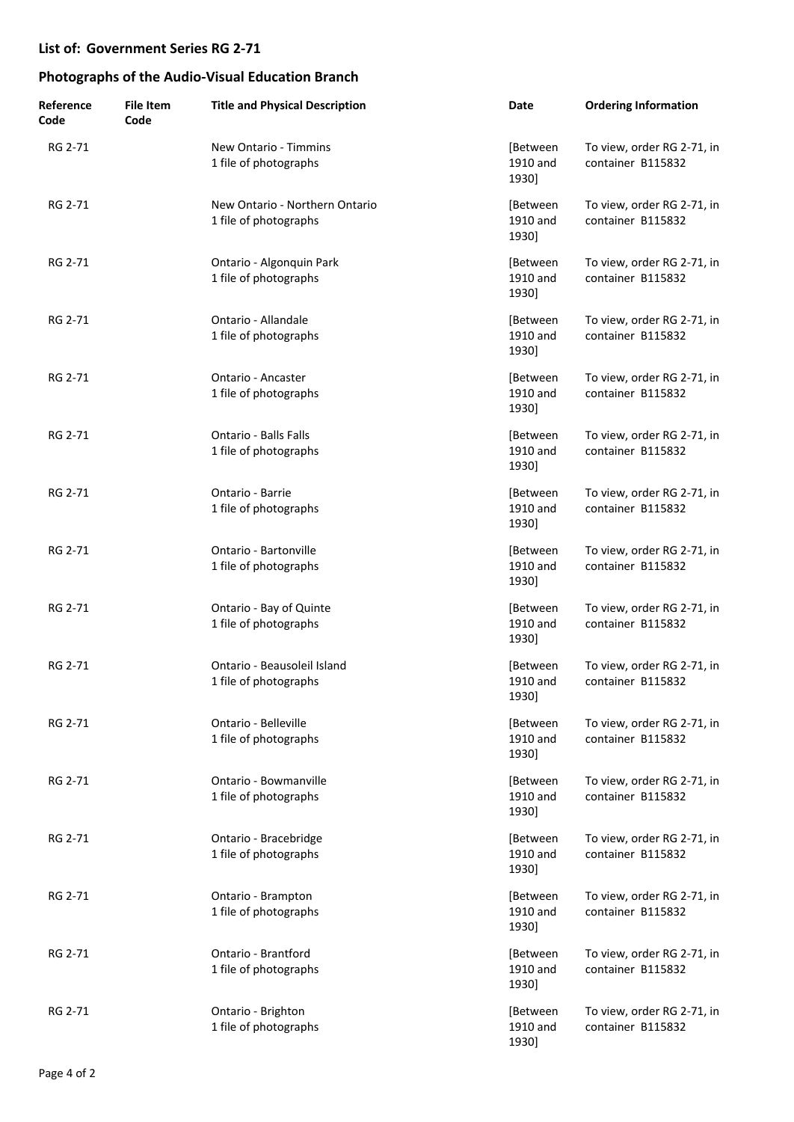| Reference<br>Code | <b>File Item</b><br>Code | <b>Title and Physical Description</b>                   | Date                          | <b>Ordering Information</b>                     |
|-------------------|--------------------------|---------------------------------------------------------|-------------------------------|-------------------------------------------------|
| RG 2-71           |                          | New Ontario - Timmins<br>1 file of photographs          | [Between<br>1910 and<br>1930] | To view, order RG 2-71, in<br>container B115832 |
| RG 2-71           |                          | New Ontario - Northern Ontario<br>1 file of photographs | [Between<br>1910 and<br>1930] | To view, order RG 2-71, in<br>container B115832 |
| RG 2-71           |                          | Ontario - Algonquin Park<br>1 file of photographs       | [Between<br>1910 and<br>1930] | To view, order RG 2-71, in<br>container B115832 |
| RG 2-71           |                          | Ontario - Allandale<br>1 file of photographs            | [Between<br>1910 and<br>1930] | To view, order RG 2-71, in<br>container B115832 |
| RG 2-71           |                          | Ontario - Ancaster<br>1 file of photographs             | [Between<br>1910 and<br>1930] | To view, order RG 2-71, in<br>container B115832 |
| RG 2-71           |                          | <b>Ontario - Balls Falls</b><br>1 file of photographs   | [Between<br>1910 and<br>1930] | To view, order RG 2-71, in<br>container B115832 |
| RG 2-71           |                          | Ontario - Barrie<br>1 file of photographs               | [Between<br>1910 and<br>1930] | To view, order RG 2-71, in<br>container B115832 |
| RG 2-71           |                          | Ontario - Bartonville<br>1 file of photographs          | [Between<br>1910 and<br>1930] | To view, order RG 2-71, in<br>container B115832 |
| RG 2-71           |                          | Ontario - Bay of Quinte<br>1 file of photographs        | [Between<br>1910 and<br>1930] | To view, order RG 2-71, in<br>container B115832 |
| RG 2-71           |                          | Ontario - Beausoleil Island<br>1 file of photographs    | [Between<br>1910 and<br>1930] | To view, order RG 2-71, in<br>container B115832 |
| RG 2-71           |                          | Ontario - Belleville<br>1 file of photographs           | [Between<br>1910 and<br>1930] | To view, order RG 2-71, in<br>container B115832 |
| RG 2-71           |                          | Ontario - Bowmanville<br>1 file of photographs          | [Between<br>1910 and<br>1930] | To view, order RG 2-71, in<br>container B115832 |
| RG 2-71           |                          | Ontario - Bracebridge<br>1 file of photographs          | [Between<br>1910 and<br>1930] | To view, order RG 2-71, in<br>container B115832 |
| RG 2-71           |                          | Ontario - Brampton<br>1 file of photographs             | [Between<br>1910 and<br>1930] | To view, order RG 2-71, in<br>container B115832 |
| RG 2-71           |                          | Ontario - Brantford<br>1 file of photographs            | [Between<br>1910 and<br>1930] | To view, order RG 2-71, in<br>container B115832 |
| RG 2-71           |                          | Ontario - Brighton<br>1 file of photographs             | [Between<br>1910 and<br>1930] | To view, order RG 2-71, in<br>container B115832 |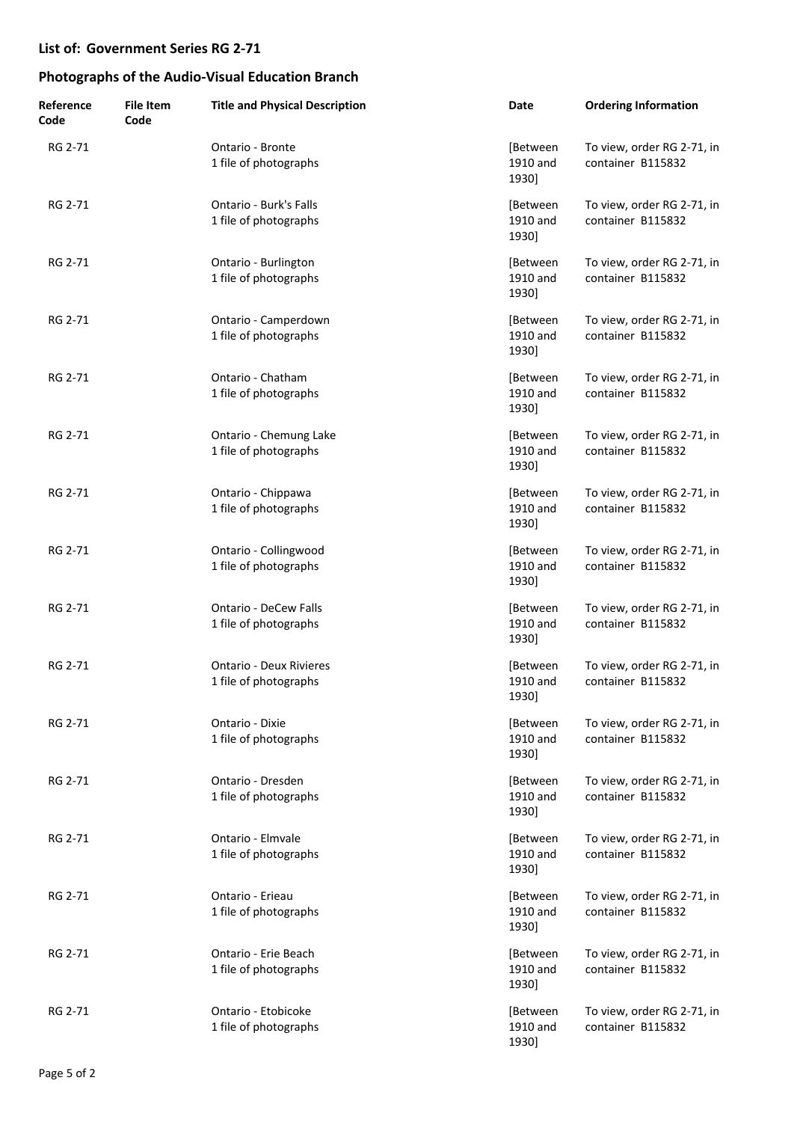| Reference<br>Code | <b>File Item</b><br>Code | <b>Title and Physical Description</b>                   | Date                          | <b>Ordering Information</b>                     |
|-------------------|--------------------------|---------------------------------------------------------|-------------------------------|-------------------------------------------------|
| RG 2-71           |                          | Ontario - Bronte<br>1 file of photographs               | [Between<br>1910 and<br>1930] | To view, order RG 2-71, in<br>container B115832 |
| RG 2-71           |                          | Ontario - Burk's Falls<br>1 file of photographs         | [Between<br>1910 and<br>1930] | To view, order RG 2-71, in<br>container B115832 |
| RG 2-71           |                          | Ontario - Burlington<br>1 file of photographs           | [Between<br>1910 and<br>1930] | To view, order RG 2-71, in<br>container B115832 |
| RG 2-71           |                          | Ontario - Camperdown<br>1 file of photographs           | [Between<br>1910 and<br>1930] | To view, order RG 2-71, in<br>container B115832 |
| RG 2-71           |                          | Ontario - Chatham<br>1 file of photographs              | [Between<br>1910 and<br>1930] | To view, order RG 2-71, in<br>container B115832 |
| RG 2-71           |                          | Ontario - Chemung Lake<br>1 file of photographs         | [Between<br>1910 and<br>1930] | To view, order RG 2-71, in<br>container B115832 |
| RG 2-71           |                          | Ontario - Chippawa<br>1 file of photographs             | [Between<br>1910 and<br>1930] | To view, order RG 2-71, in<br>container B115832 |
| RG 2-71           |                          | Ontario - Collingwood<br>1 file of photographs          | [Between<br>1910 and<br>1930] | To view, order RG 2-71, in<br>container B115832 |
| RG 2-71           |                          | <b>Ontario - DeCew Falls</b><br>1 file of photographs   | [Between<br>1910 and<br>1930] | To view, order RG 2-71, in<br>container B115832 |
| RG 2-71           |                          | <b>Ontario - Deux Rivieres</b><br>1 file of photographs | [Between<br>1910 and<br>1930] | To view, order RG 2-71, in<br>container B115832 |
| RG 2-71           |                          | Ontario - Dixie<br>1 file of photographs                | [Between<br>1910 and<br>1930] | To view, order RG 2-71, in<br>container B115832 |
| RG 2-71           |                          | Ontario - Dresden<br>1 file of photographs              | [Between<br>1910 and<br>1930] | To view, order RG 2-71, in<br>container B115832 |
| RG 2-71           |                          | Ontario - Elmvale<br>1 file of photographs              | [Between<br>1910 and<br>1930] | To view, order RG 2-71, in<br>container B115832 |
| RG 2-71           |                          | Ontario - Erieau<br>1 file of photographs               | [Between<br>1910 and<br>1930] | To view, order RG 2-71, in<br>container B115832 |
| RG 2-71           |                          | Ontario - Erie Beach<br>1 file of photographs           | [Between<br>1910 and<br>1930] | To view, order RG 2-71, in<br>container B115832 |
| RG 2-71           |                          | Ontario - Etobicoke<br>1 file of photographs            | [Between<br>1910 and<br>1930] | To view, order RG 2-71, in<br>container B115832 |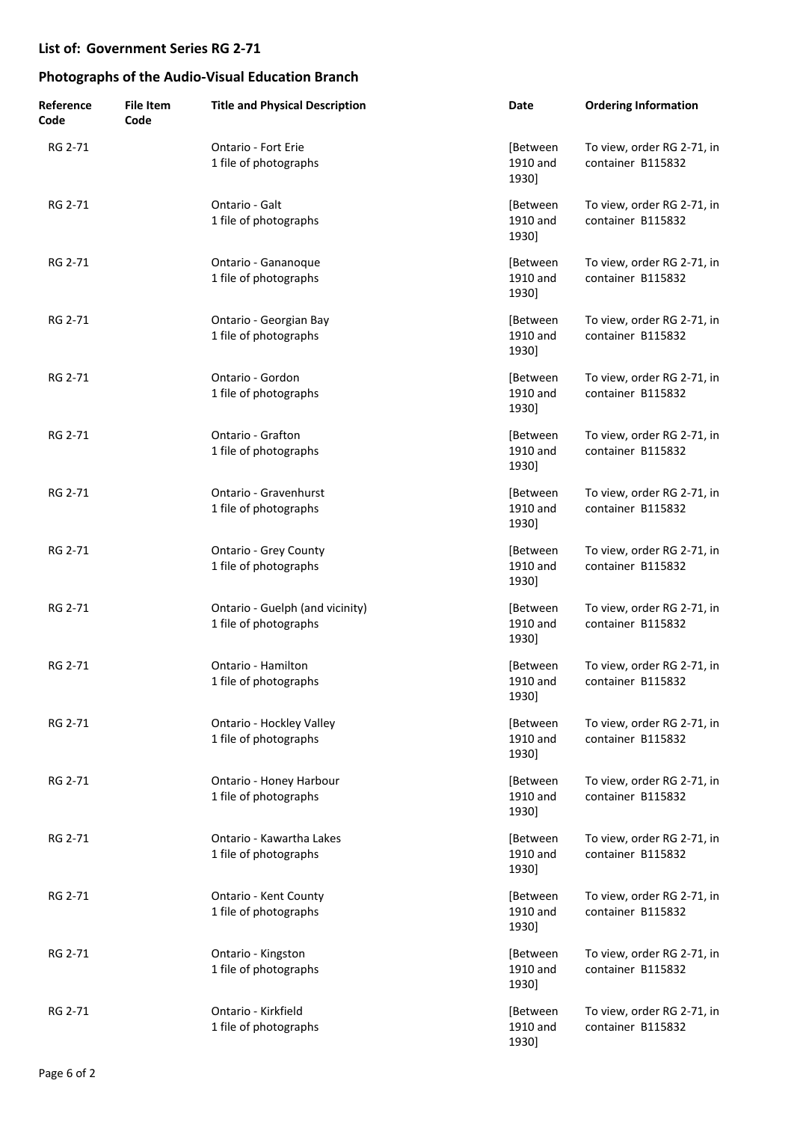| Reference<br>Code | <b>File Item</b><br>Code | <b>Title and Physical Description</b>                    | Date                          | <b>Ordering Information</b>                     |
|-------------------|--------------------------|----------------------------------------------------------|-------------------------------|-------------------------------------------------|
| RG 2-71           |                          | Ontario - Fort Erie<br>1 file of photographs             | [Between<br>1910 and<br>1930] | To view, order RG 2-71, in<br>container B115832 |
| RG 2-71           |                          | Ontario - Galt<br>1 file of photographs                  | [Between<br>1910 and<br>1930] | To view, order RG 2-71, in<br>container B115832 |
| RG 2-71           |                          | Ontario - Gananoque<br>1 file of photographs             | [Between<br>1910 and<br>1930] | To view, order RG 2-71, in<br>container B115832 |
| RG 2-71           |                          | Ontario - Georgian Bay<br>1 file of photographs          | [Between<br>1910 and<br>1930] | To view, order RG 2-71, in<br>container B115832 |
| RG 2-71           |                          | Ontario - Gordon<br>1 file of photographs                | [Between<br>1910 and<br>1930] | To view, order RG 2-71, in<br>container B115832 |
| RG 2-71           |                          | Ontario - Grafton<br>1 file of photographs               | [Between<br>1910 and<br>1930] | To view, order RG 2-71, in<br>container B115832 |
| RG 2-71           |                          | Ontario - Gravenhurst<br>1 file of photographs           | [Between<br>1910 and<br>1930] | To view, order RG 2-71, in<br>container B115832 |
| RG 2-71           |                          | <b>Ontario - Grey County</b><br>1 file of photographs    | [Between<br>1910 and<br>1930] | To view, order RG 2-71, in<br>container B115832 |
| RG 2-71           |                          | Ontario - Guelph (and vicinity)<br>1 file of photographs | [Between<br>1910 and<br>1930] | To view, order RG 2-71, in<br>container B115832 |
| RG 2-71           |                          | Ontario - Hamilton<br>1 file of photographs              | [Between<br>1910 and<br>1930] | To view, order RG 2-71, in<br>container B115832 |
| RG 2-71           |                          | Ontario - Hockley Valley<br>1 file of photographs        | [Between<br>1910 and<br>1930] | To view, order RG 2-71, in<br>container B115832 |
| RG 2-71           |                          | Ontario - Honey Harbour<br>1 file of photographs         | [Between<br>1910 and<br>1930] | To view, order RG 2-71, in<br>container B115832 |
| RG 2-71           |                          | Ontario - Kawartha Lakes<br>1 file of photographs        | [Between<br>1910 and<br>1930] | To view, order RG 2-71, in<br>container B115832 |
| RG 2-71           |                          | Ontario - Kent County<br>1 file of photographs           | [Between<br>1910 and<br>1930] | To view, order RG 2-71, in<br>container B115832 |
| RG 2-71           |                          | Ontario - Kingston<br>1 file of photographs              | [Between<br>1910 and<br>1930] | To view, order RG 2-71, in<br>container B115832 |
| RG 2-71           |                          | Ontario - Kirkfield<br>1 file of photographs             | [Between<br>1910 and<br>1930] | To view, order RG 2-71, in<br>container B115832 |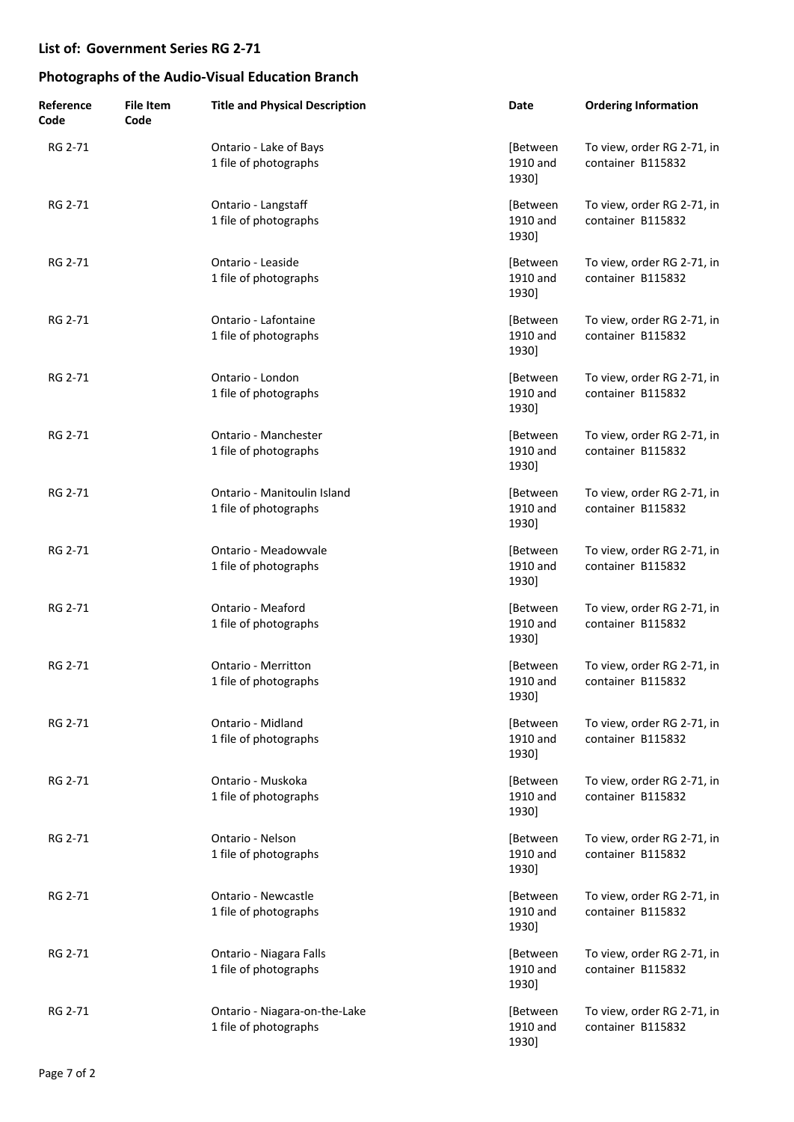| Reference<br>Code | <b>File Item</b><br>Code | <b>Title and Physical Description</b>                  | Date                          | <b>Ordering Information</b>                     |
|-------------------|--------------------------|--------------------------------------------------------|-------------------------------|-------------------------------------------------|
| RG 2-71           |                          | Ontario - Lake of Bays<br>1 file of photographs        | [Between<br>1910 and<br>1930] | To view, order RG 2-71, in<br>container B115832 |
| RG 2-71           |                          | Ontario - Langstaff<br>1 file of photographs           | [Between<br>1910 and<br>1930] | To view, order RG 2-71, in<br>container B115832 |
| RG 2-71           |                          | Ontario - Leaside<br>1 file of photographs             | [Between<br>1910 and<br>1930] | To view, order RG 2-71, in<br>container B115832 |
| RG 2-71           |                          | Ontario - Lafontaine<br>1 file of photographs          | [Between<br>1910 and<br>1930] | To view, order RG 2-71, in<br>container B115832 |
| RG 2-71           |                          | Ontario - London<br>1 file of photographs              | [Between<br>1910 and<br>1930] | To view, order RG 2-71, in<br>container B115832 |
| RG 2-71           |                          | Ontario - Manchester<br>1 file of photographs          | [Between<br>1910 and<br>1930] | To view, order RG 2-71, in<br>container B115832 |
| RG 2-71           |                          | Ontario - Manitoulin Island<br>1 file of photographs   | [Between<br>1910 and<br>1930] | To view, order RG 2-71, in<br>container B115832 |
| RG 2-71           |                          | Ontario - Meadowvale<br>1 file of photographs          | [Between<br>1910 and<br>1930] | To view, order RG 2-71, in<br>container B115832 |
| RG 2-71           |                          | Ontario - Meaford<br>1 file of photographs             | [Between<br>1910 and<br>1930] | To view, order RG 2-71, in<br>container B115832 |
| RG 2-71           |                          | Ontario - Merritton<br>1 file of photographs           | [Between<br>1910 and<br>1930] | To view, order RG 2-71, in<br>container B115832 |
| RG 2-71           |                          | Ontario - Midland<br>1 file of photographs             | [Between<br>1910 and<br>1930] | To view, order RG 2-71, in<br>container B115832 |
| RG 2-71           |                          | Ontario - Muskoka<br>1 file of photographs             | [Between<br>1910 and<br>1930] | To view, order RG 2-71, in<br>container B115832 |
| RG 2-71           |                          | Ontario - Nelson<br>1 file of photographs              | [Between<br>1910 and<br>1930] | To view, order RG 2-71, in<br>container B115832 |
| RG 2-71           |                          | Ontario - Newcastle<br>1 file of photographs           | [Between<br>1910 and<br>1930] | To view, order RG 2-71, in<br>container B115832 |
| RG 2-71           |                          | Ontario - Niagara Falls<br>1 file of photographs       | [Between<br>1910 and<br>1930] | To view, order RG 2-71, in<br>container B115832 |
| RG 2-71           |                          | Ontario - Niagara-on-the-Lake<br>1 file of photographs | [Between<br>1910 and<br>1930] | To view, order RG 2-71, in<br>container B115832 |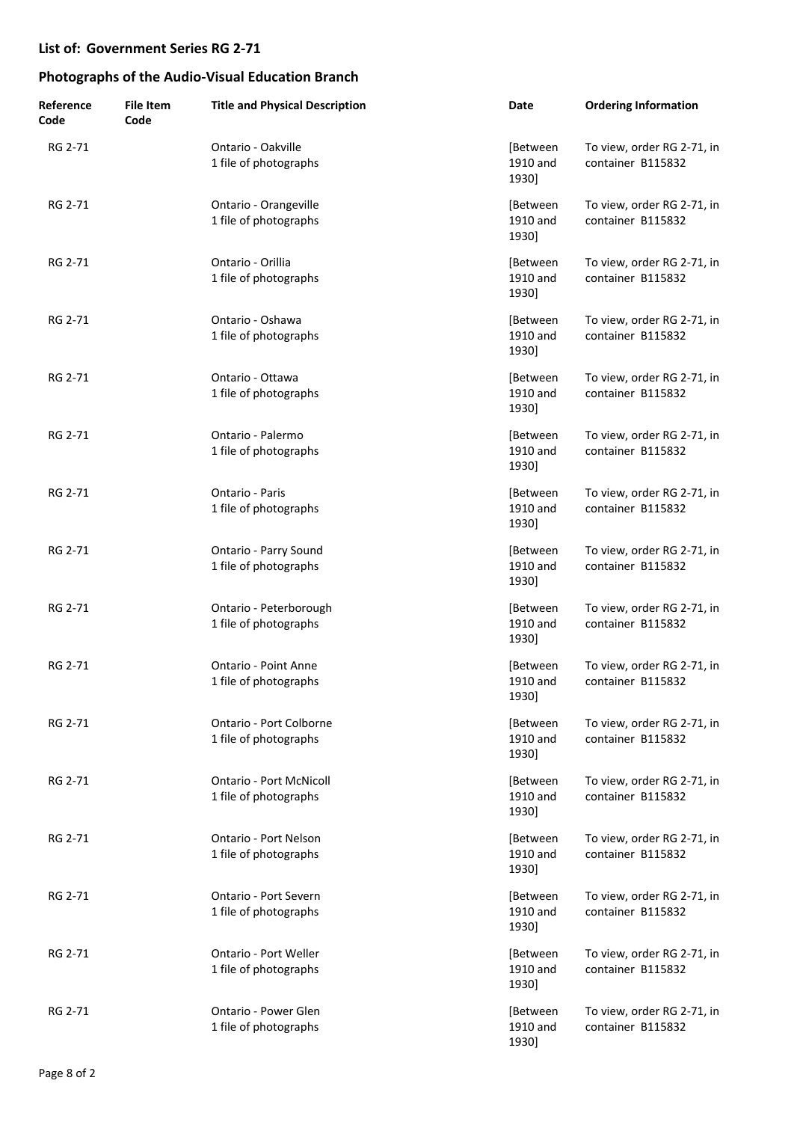| Reference<br>Code | <b>File Item</b><br>Code | <b>Title and Physical Description</b>                   | Date                          | <b>Ordering Information</b>                     |
|-------------------|--------------------------|---------------------------------------------------------|-------------------------------|-------------------------------------------------|
| RG 2-71           |                          | Ontario - Oakville<br>1 file of photographs             | [Between<br>1910 and<br>1930] | To view, order RG 2-71, in<br>container B115832 |
| RG 2-71           |                          | Ontario - Orangeville<br>1 file of photographs          | [Between<br>1910 and<br>1930] | To view, order RG 2-71, in<br>container B115832 |
| RG 2-71           |                          | Ontario - Orillia<br>1 file of photographs              | [Between<br>1910 and<br>1930] | To view, order RG 2-71, in<br>container B115832 |
| RG 2-71           |                          | Ontario - Oshawa<br>1 file of photographs               | [Between<br>1910 and<br>1930] | To view, order RG 2-71, in<br>container B115832 |
| RG 2-71           |                          | Ontario - Ottawa<br>1 file of photographs               | [Between<br>1910 and<br>1930] | To view, order RG 2-71, in<br>container B115832 |
| RG 2-71           |                          | Ontario - Palermo<br>1 file of photographs              | [Between<br>1910 and<br>1930] | To view, order RG 2-71, in<br>container B115832 |
| RG 2-71           |                          | Ontario - Paris<br>1 file of photographs                | [Between<br>1910 and<br>1930] | To view, order RG 2-71, in<br>container B115832 |
| RG 2-71           |                          | Ontario - Parry Sound<br>1 file of photographs          | [Between<br>1910 and<br>1930] | To view, order RG 2-71, in<br>container B115832 |
| RG 2-71           |                          | Ontario - Peterborough<br>1 file of photographs         | [Between<br>1910 and<br>1930] | To view, order RG 2-71, in<br>container B115832 |
| RG 2-71           |                          | Ontario - Point Anne<br>1 file of photographs           | [Between<br>1910 and<br>1930] | To view, order RG 2-71, in<br>container B115832 |
| RG 2-71           |                          | Ontario - Port Colborne<br>1 file of photographs        | [Between<br>1910 and<br>1930] | To view, order RG 2-71, in<br>container B115832 |
| RG 2-71           |                          | <b>Ontario - Port McNicoll</b><br>1 file of photographs | [Between<br>1910 and<br>1930] | To view, order RG 2-71, in<br>container B115832 |
| RG 2-71           |                          | Ontario - Port Nelson<br>1 file of photographs          | [Between<br>1910 and<br>1930] | To view, order RG 2-71, in<br>container B115832 |
| RG 2-71           |                          | Ontario - Port Severn<br>1 file of photographs          | [Between<br>1910 and<br>1930] | To view, order RG 2-71, in<br>container B115832 |
| RG 2-71           |                          | Ontario - Port Weller<br>1 file of photographs          | [Between<br>1910 and<br>1930] | To view, order RG 2-71, in<br>container B115832 |
| RG 2-71           |                          | Ontario - Power Glen<br>1 file of photographs           | [Between<br>1910 and<br>1930] | To view, order RG 2-71, in<br>container B115832 |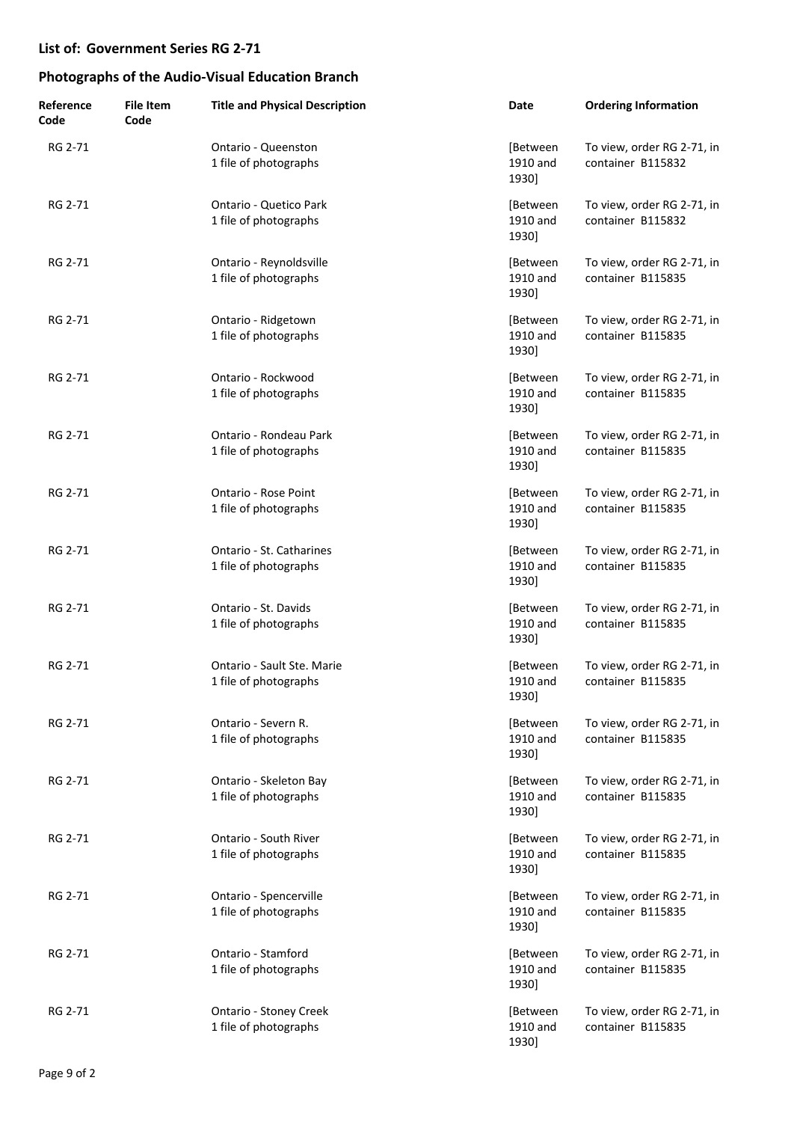| Reference<br>Code | <b>File Item</b><br>Code | <b>Title and Physical Description</b>                  | Date                          | <b>Ordering Information</b>                     |
|-------------------|--------------------------|--------------------------------------------------------|-------------------------------|-------------------------------------------------|
| RG 2-71           |                          | Ontario - Queenston<br>1 file of photographs           | [Between<br>1910 and<br>1930] | To view, order RG 2-71, in<br>container B115832 |
| RG 2-71           |                          | <b>Ontario - Quetico Park</b><br>1 file of photographs | [Between<br>1910 and<br>1930] | To view, order RG 2-71, in<br>container B115832 |
| RG 2-71           |                          | Ontario - Reynoldsville<br>1 file of photographs       | [Between<br>1910 and<br>1930] | To view, order RG 2-71, in<br>container B115835 |
| RG 2-71           |                          | Ontario - Ridgetown<br>1 file of photographs           | [Between<br>1910 and<br>1930] | To view, order RG 2-71, in<br>container B115835 |
| RG 2-71           |                          | Ontario - Rockwood<br>1 file of photographs            | [Between<br>1910 and<br>1930] | To view, order RG 2-71, in<br>container B115835 |
| RG 2-71           |                          | Ontario - Rondeau Park<br>1 file of photographs        | [Between<br>1910 and<br>1930] | To view, order RG 2-71, in<br>container B115835 |
| RG 2-71           |                          | Ontario - Rose Point<br>1 file of photographs          | [Between<br>1910 and<br>1930] | To view, order RG 2-71, in<br>container B115835 |
| RG 2-71           |                          | Ontario - St. Catharines<br>1 file of photographs      | [Between<br>1910 and<br>1930] | To view, order RG 2-71, in<br>container B115835 |
| RG 2-71           |                          | Ontario - St. Davids<br>1 file of photographs          | [Between<br>1910 and<br>1930] | To view, order RG 2-71, in<br>container B115835 |
| RG 2-71           |                          | Ontario - Sault Ste. Marie<br>1 file of photographs    | [Between<br>1910 and<br>1930] | To view, order RG 2-71, in<br>container B115835 |
| RG 2-71           |                          | Ontario - Severn R.<br>1 file of photographs           | [Between<br>1910 and<br>1930] | To view, order RG 2-71, in<br>container B115835 |
| RG 2-71           |                          | Ontario - Skeleton Bay<br>1 file of photographs        | [Between<br>1910 and<br>1930] | To view, order RG 2-71, in<br>container B115835 |
| RG 2-71           |                          | Ontario - South River<br>1 file of photographs         | [Between<br>1910 and<br>1930] | To view, order RG 2-71, in<br>container B115835 |
| RG 2-71           |                          | Ontario - Spencerville<br>1 file of photographs        | [Between<br>1910 and<br>1930] | To view, order RG 2-71, in<br>container B115835 |
| RG 2-71           |                          | Ontario - Stamford<br>1 file of photographs            | [Between<br>1910 and<br>1930] | To view, order RG 2-71, in<br>container B115835 |
| RG 2-71           |                          | <b>Ontario - Stoney Creek</b><br>1 file of photographs | [Between<br>1910 and<br>1930] | To view, order RG 2-71, in<br>container B115835 |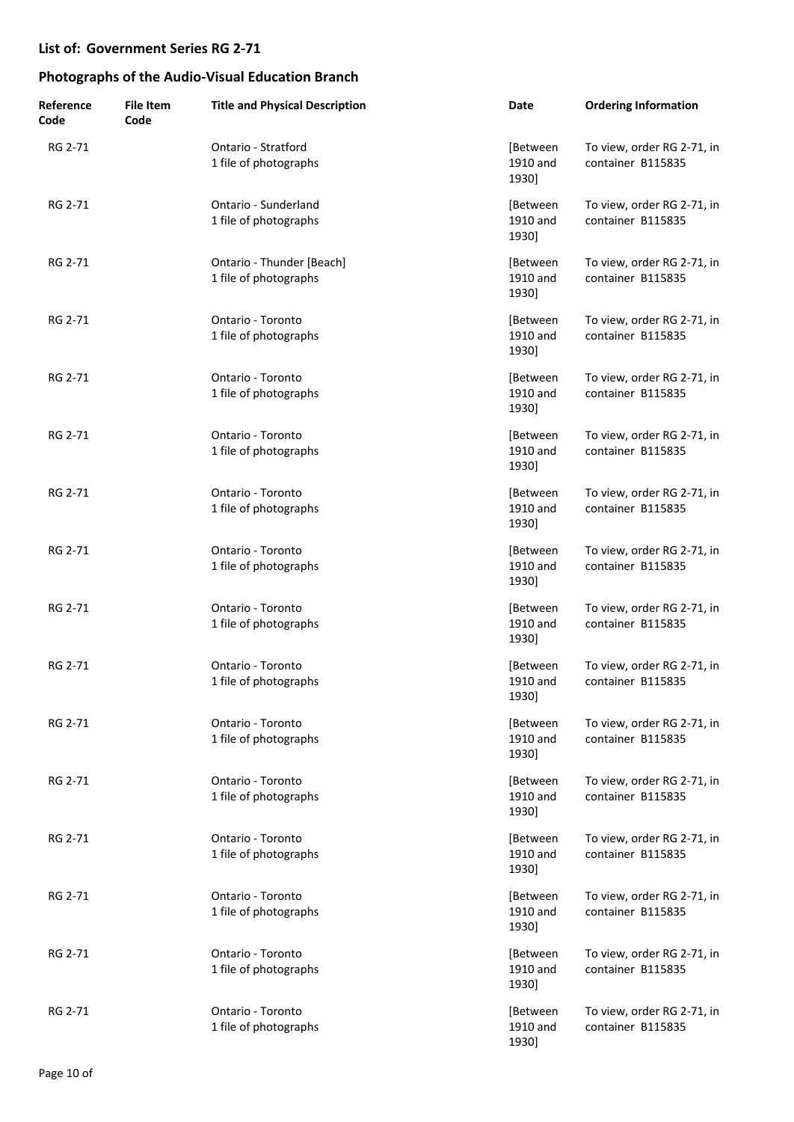| Reference<br>Code | <b>File Item</b><br>Code | <b>Title and Physical Description</b>              | Date                          | <b>Ordering Information</b>                     |
|-------------------|--------------------------|----------------------------------------------------|-------------------------------|-------------------------------------------------|
| RG 2-71           |                          | Ontario - Stratford<br>1 file of photographs       | [Between<br>1910 and<br>1930] | To view, order RG 2-71, in<br>container B115835 |
| RG 2-71           |                          | Ontario - Sunderland<br>1 file of photographs      | [Between<br>1910 and<br>1930] | To view, order RG 2-71, in<br>container B115835 |
| RG 2-71           |                          | Ontario - Thunder [Beach]<br>1 file of photographs | [Between<br>1910 and<br>1930] | To view, order RG 2-71, in<br>container B115835 |
| RG 2-71           |                          | Ontario - Toronto<br>1 file of photographs         | [Between<br>1910 and<br>1930] | To view, order RG 2-71, in<br>container B115835 |
| RG 2-71           |                          | Ontario - Toronto<br>1 file of photographs         | [Between<br>1910 and<br>1930] | To view, order RG 2-71, in<br>container B115835 |
| RG 2-71           |                          | Ontario - Toronto<br>1 file of photographs         | [Between<br>1910 and<br>1930] | To view, order RG 2-71, in<br>container B115835 |
| RG 2-71           |                          | Ontario - Toronto<br>1 file of photographs         | [Between<br>1910 and<br>1930] | To view, order RG 2-71, in<br>container B115835 |
| RG 2-71           |                          | Ontario - Toronto<br>1 file of photographs         | [Between<br>1910 and<br>1930] | To view, order RG 2-71, in<br>container B115835 |
| RG 2-71           |                          | Ontario - Toronto<br>1 file of photographs         | [Between<br>1910 and<br>1930] | To view, order RG 2-71, in<br>container B115835 |
| RG 2-71           |                          | Ontario - Toronto<br>1 file of photographs         | [Between<br>1910 and<br>1930] | To view, order RG 2-71, in<br>container B115835 |
| RG 2-71           |                          | Ontario - Toronto<br>1 file of photographs         | [Between<br>1910 and<br>1930] | To view, order RG 2-71, in<br>container B115835 |
| RG 2-71           |                          | Ontario - Toronto<br>1 file of photographs         | [Between<br>1910 and<br>1930] | To view, order RG 2-71, in<br>container B115835 |
| RG 2-71           |                          | Ontario - Toronto<br>1 file of photographs         | [Between<br>1910 and<br>1930] | To view, order RG 2-71, in<br>container B115835 |
| RG 2-71           |                          | Ontario - Toronto<br>1 file of photographs         | [Between<br>1910 and<br>1930] | To view, order RG 2-71, in<br>container B115835 |
| RG 2-71           |                          | Ontario - Toronto<br>1 file of photographs         | [Between<br>1910 and<br>1930] | To view, order RG 2-71, in<br>container B115835 |
| RG 2-71           |                          | Ontario - Toronto<br>1 file of photographs         | [Between<br>1910 and<br>1930] | To view, order RG 2-71, in<br>container B115835 |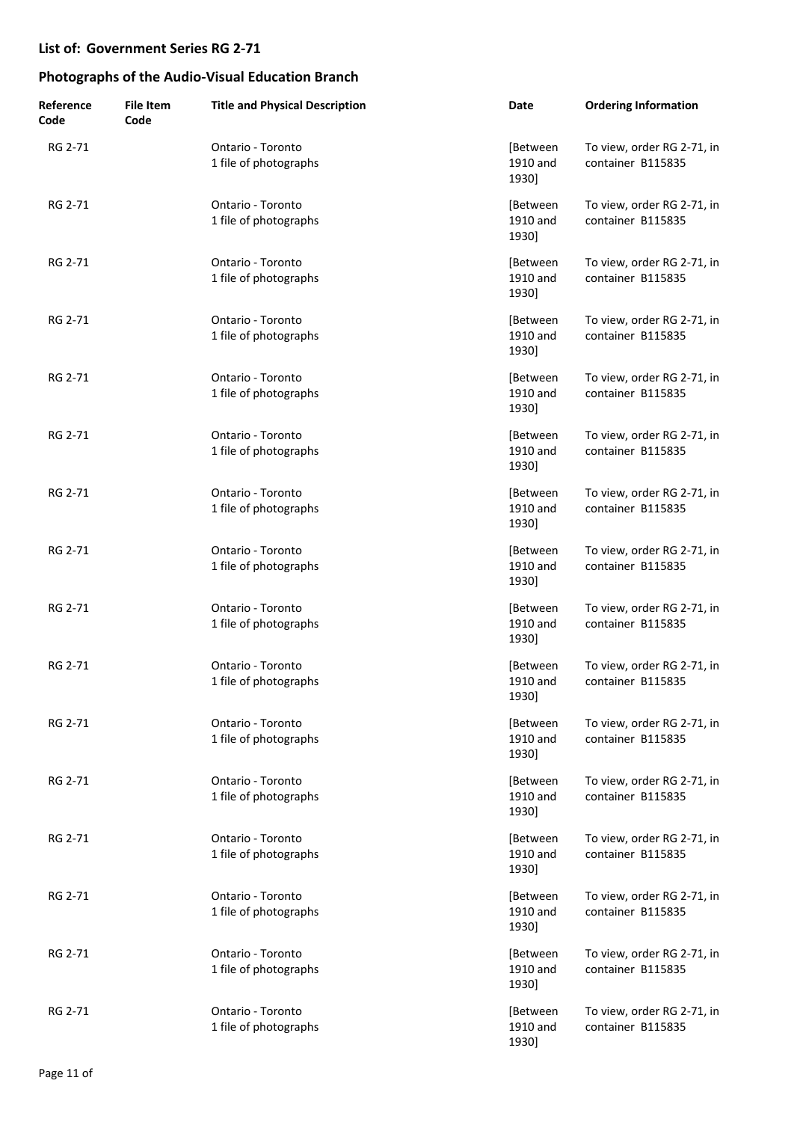| Reference<br>Code | <b>File Item</b><br>Code | <b>Title and Physical Description</b>      | Date                          | <b>Ordering Information</b>                     |
|-------------------|--------------------------|--------------------------------------------|-------------------------------|-------------------------------------------------|
| RG 2-71           |                          | Ontario - Toronto<br>1 file of photographs | [Between<br>1910 and<br>1930] | To view, order RG 2-71, in<br>container B115835 |
| RG 2-71           |                          | Ontario - Toronto<br>1 file of photographs | [Between<br>1910 and<br>1930] | To view, order RG 2-71, in<br>container B115835 |
| RG 2-71           |                          | Ontario - Toronto<br>1 file of photographs | [Between<br>1910 and<br>1930] | To view, order RG 2-71, in<br>container B115835 |
| RG 2-71           |                          | Ontario - Toronto<br>1 file of photographs | [Between<br>1910 and<br>1930] | To view, order RG 2-71, in<br>container B115835 |
| RG 2-71           |                          | Ontario - Toronto<br>1 file of photographs | [Between<br>1910 and<br>1930] | To view, order RG 2-71, in<br>container B115835 |
| RG 2-71           |                          | Ontario - Toronto<br>1 file of photographs | [Between<br>1910 and<br>1930] | To view, order RG 2-71, in<br>container B115835 |
| RG 2-71           |                          | Ontario - Toronto<br>1 file of photographs | [Between<br>1910 and<br>1930] | To view, order RG 2-71, in<br>container B115835 |
| RG 2-71           |                          | Ontario - Toronto<br>1 file of photographs | [Between<br>1910 and<br>1930] | To view, order RG 2-71, in<br>container B115835 |
| RG 2-71           |                          | Ontario - Toronto<br>1 file of photographs | [Between<br>1910 and<br>1930] | To view, order RG 2-71, in<br>container B115835 |
| RG 2-71           |                          | Ontario - Toronto<br>1 file of photographs | [Between<br>1910 and<br>1930] | To view, order RG 2-71, in<br>container B115835 |
| RG 2-71           |                          | Ontario - Toronto<br>1 file of photographs | [Between<br>1910 and<br>1930] | To view, order RG 2-71, in<br>container B115835 |
| RG 2-71           |                          | Ontario - Toronto<br>1 file of photographs | [Between<br>1910 and<br>1930] | To view, order RG 2-71, in<br>container B115835 |
| RG 2-71           |                          | Ontario - Toronto<br>1 file of photographs | [Between<br>1910 and<br>1930] | To view, order RG 2-71, in<br>container B115835 |
| RG 2-71           |                          | Ontario - Toronto<br>1 file of photographs | [Between<br>1910 and<br>1930] | To view, order RG 2-71, in<br>container B115835 |
| RG 2-71           |                          | Ontario - Toronto<br>1 file of photographs | [Between<br>1910 and<br>1930] | To view, order RG 2-71, in<br>container B115835 |
| RG 2-71           |                          | Ontario - Toronto<br>1 file of photographs | [Between<br>1910 and<br>1930] | To view, order RG 2-71, in<br>container B115835 |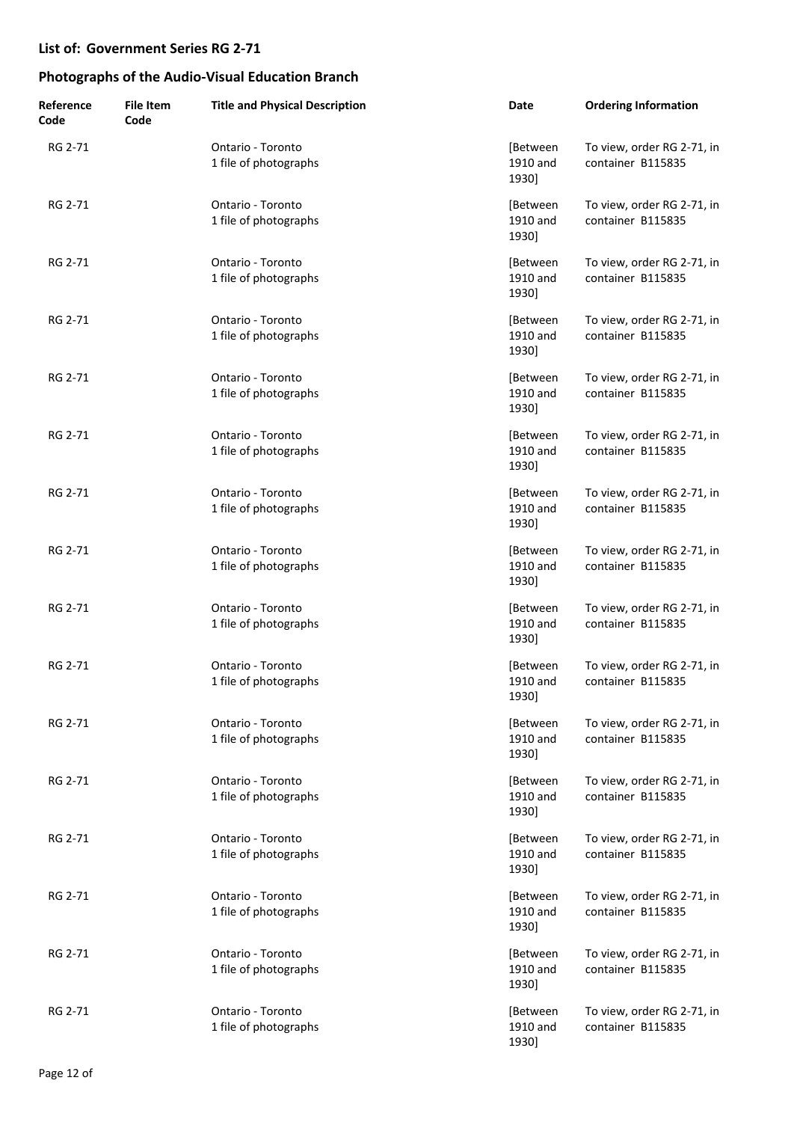| Reference<br>Code | <b>File Item</b><br>Code | <b>Title and Physical Description</b>      | Date                          | <b>Ordering Information</b>                     |
|-------------------|--------------------------|--------------------------------------------|-------------------------------|-------------------------------------------------|
| RG 2-71           |                          | Ontario - Toronto<br>1 file of photographs | [Between<br>1910 and<br>1930] | To view, order RG 2-71, in<br>container B115835 |
| RG 2-71           |                          | Ontario - Toronto<br>1 file of photographs | [Between<br>1910 and<br>1930] | To view, order RG 2-71, in<br>container B115835 |
| RG 2-71           |                          | Ontario - Toronto<br>1 file of photographs | [Between<br>1910 and<br>1930] | To view, order RG 2-71, in<br>container B115835 |
| RG 2-71           |                          | Ontario - Toronto<br>1 file of photographs | [Between<br>1910 and<br>1930] | To view, order RG 2-71, in<br>container B115835 |
| RG 2-71           |                          | Ontario - Toronto<br>1 file of photographs | [Between<br>1910 and<br>1930] | To view, order RG 2-71, in<br>container B115835 |
| RG 2-71           |                          | Ontario - Toronto<br>1 file of photographs | [Between<br>1910 and<br>1930] | To view, order RG 2-71, in<br>container B115835 |
| RG 2-71           |                          | Ontario - Toronto<br>1 file of photographs | [Between<br>1910 and<br>1930] | To view, order RG 2-71, in<br>container B115835 |
| RG 2-71           |                          | Ontario - Toronto<br>1 file of photographs | [Between<br>1910 and<br>1930] | To view, order RG 2-71, in<br>container B115835 |
| RG 2-71           |                          | Ontario - Toronto<br>1 file of photographs | [Between<br>1910 and<br>1930] | To view, order RG 2-71, in<br>container B115835 |
| RG 2-71           |                          | Ontario - Toronto<br>1 file of photographs | [Between<br>1910 and<br>1930] | To view, order RG 2-71, in<br>container B115835 |
| RG 2-71           |                          | Ontario - Toronto<br>1 file of photographs | [Between<br>1910 and<br>1930] | To view, order RG 2-71, in<br>container B115835 |
| RG 2-71           |                          | Ontario - Toronto<br>1 file of photographs | [Between<br>1910 and<br>1930] | To view, order RG 2-71, in<br>container B115835 |
| RG 2-71           |                          | Ontario - Toronto<br>1 file of photographs | [Between<br>1910 and<br>1930] | To view, order RG 2-71, in<br>container B115835 |
| RG 2-71           |                          | Ontario - Toronto<br>1 file of photographs | [Between<br>1910 and<br>1930] | To view, order RG 2-71, in<br>container B115835 |
| RG 2-71           |                          | Ontario - Toronto<br>1 file of photographs | [Between<br>1910 and<br>1930] | To view, order RG 2-71, in<br>container B115835 |
| RG 2-71           |                          | Ontario - Toronto<br>1 file of photographs | [Between<br>1910 and<br>1930] | To view, order RG 2-71, in<br>container B115835 |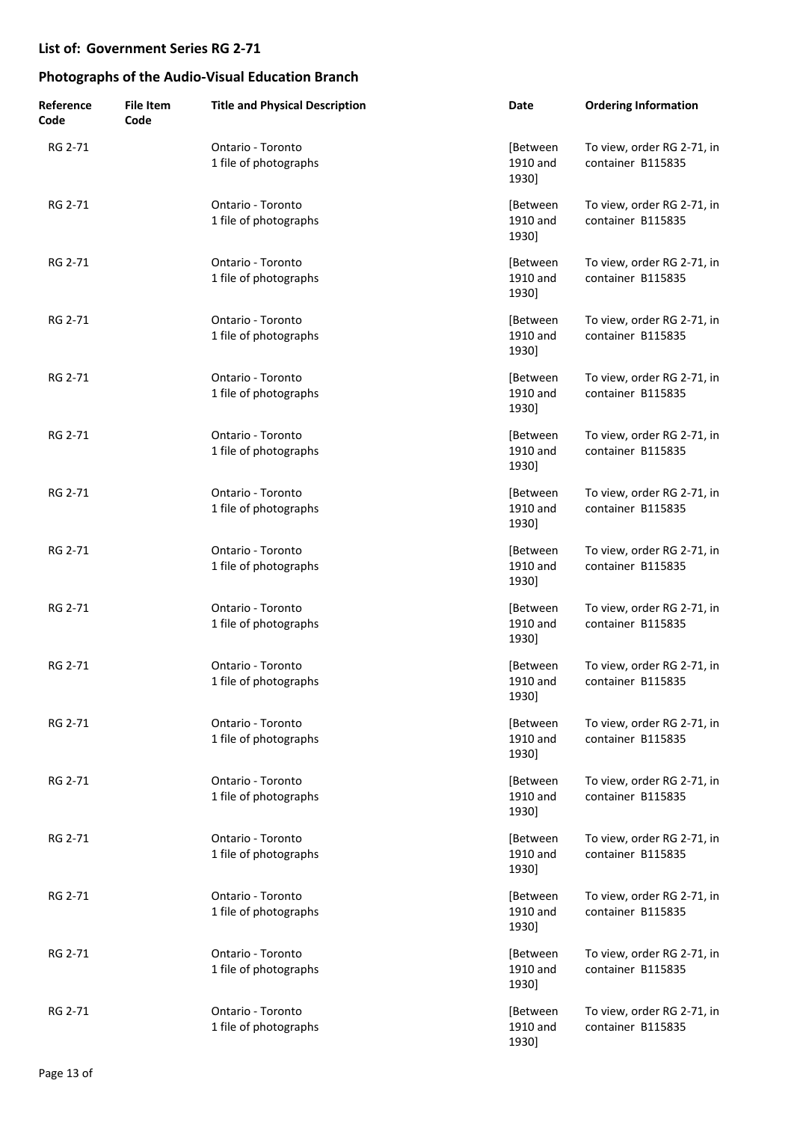| Reference<br>Code | <b>File Item</b><br>Code | <b>Title and Physical Description</b>      | Date                          | <b>Ordering Information</b>                     |
|-------------------|--------------------------|--------------------------------------------|-------------------------------|-------------------------------------------------|
| RG 2-71           |                          | Ontario - Toronto<br>1 file of photographs | [Between<br>1910 and<br>1930] | To view, order RG 2-71, in<br>container B115835 |
| RG 2-71           |                          | Ontario - Toronto<br>1 file of photographs | [Between<br>1910 and<br>1930] | To view, order RG 2-71, in<br>container B115835 |
| RG 2-71           |                          | Ontario - Toronto<br>1 file of photographs | [Between<br>1910 and<br>1930] | To view, order RG 2-71, in<br>container B115835 |
| RG 2-71           |                          | Ontario - Toronto<br>1 file of photographs | [Between<br>1910 and<br>1930] | To view, order RG 2-71, in<br>container B115835 |
| RG 2-71           |                          | Ontario - Toronto<br>1 file of photographs | [Between<br>1910 and<br>1930] | To view, order RG 2-71, in<br>container B115835 |
| RG 2-71           |                          | Ontario - Toronto<br>1 file of photographs | [Between<br>1910 and<br>1930] | To view, order RG 2-71, in<br>container B115835 |
| RG 2-71           |                          | Ontario - Toronto<br>1 file of photographs | [Between<br>1910 and<br>1930] | To view, order RG 2-71, in<br>container B115835 |
| RG 2-71           |                          | Ontario - Toronto<br>1 file of photographs | [Between<br>1910 and<br>1930] | To view, order RG 2-71, in<br>container B115835 |
| RG 2-71           |                          | Ontario - Toronto<br>1 file of photographs | [Between<br>1910 and<br>1930] | To view, order RG 2-71, in<br>container B115835 |
| RG 2-71           |                          | Ontario - Toronto<br>1 file of photographs | [Between<br>1910 and<br>1930] | To view, order RG 2-71, in<br>container B115835 |
| RG 2-71           |                          | Ontario - Toronto<br>1 file of photographs | [Between<br>1910 and<br>1930] | To view, order RG 2-71, in<br>container B115835 |
| RG 2-71           |                          | Ontario - Toronto<br>1 file of photographs | [Between<br>1910 and<br>1930] | To view, order RG 2-71, in<br>container B115835 |
| RG 2-71           |                          | Ontario - Toronto<br>1 file of photographs | [Between<br>1910 and<br>1930] | To view, order RG 2-71, in<br>container B115835 |
| RG 2-71           |                          | Ontario - Toronto<br>1 file of photographs | [Between<br>1910 and<br>1930] | To view, order RG 2-71, in<br>container B115835 |
| RG 2-71           |                          | Ontario - Toronto<br>1 file of photographs | [Between<br>1910 and<br>1930] | To view, order RG 2-71, in<br>container B115835 |
| RG 2-71           |                          | Ontario - Toronto<br>1 file of photographs | [Between<br>1910 and<br>1930] | To view, order RG 2-71, in<br>container B115835 |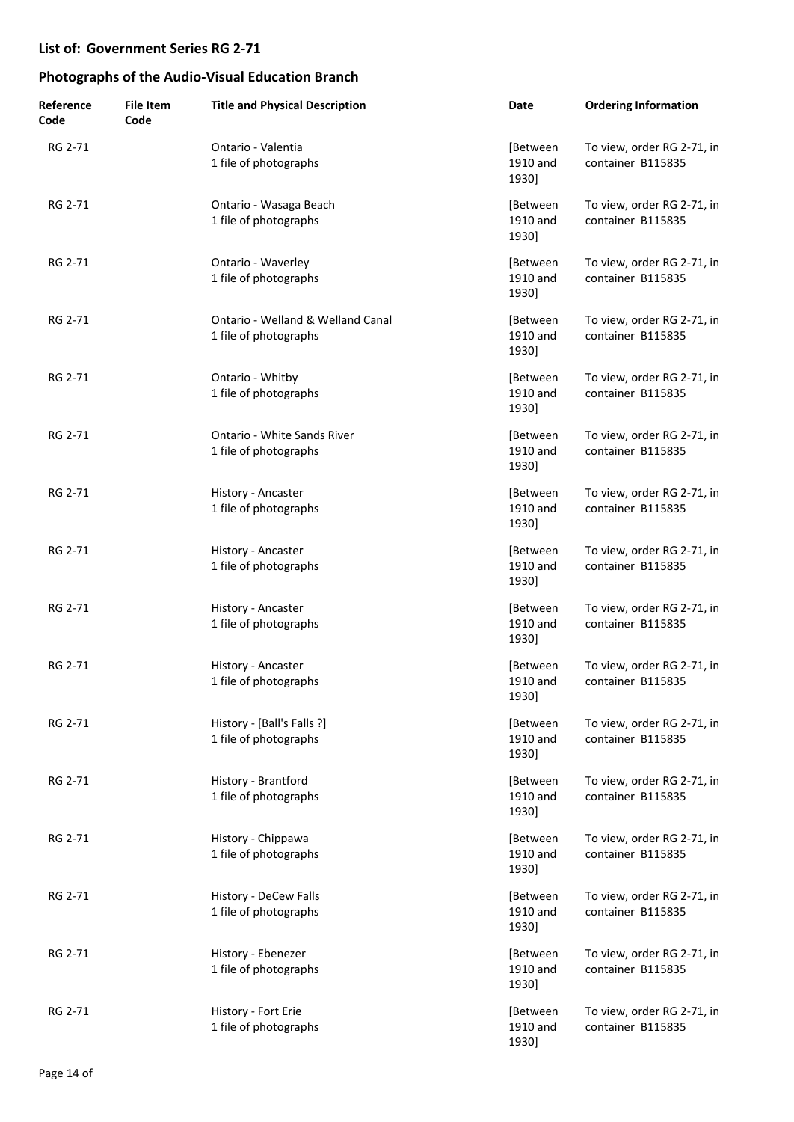| Reference<br>Code | <b>File Item</b><br>Code | <b>Title and Physical Description</b>                      | Date                          | <b>Ordering Information</b>                     |
|-------------------|--------------------------|------------------------------------------------------------|-------------------------------|-------------------------------------------------|
| RG 2-71           |                          | Ontario - Valentia<br>1 file of photographs                | [Between<br>1910 and<br>1930] | To view, order RG 2-71, in<br>container B115835 |
| RG 2-71           |                          | Ontario - Wasaga Beach<br>1 file of photographs            | [Between<br>1910 and<br>1930] | To view, order RG 2-71, in<br>container B115835 |
| RG 2-71           |                          | Ontario - Waverley<br>1 file of photographs                | [Between<br>1910 and<br>1930] | To view, order RG 2-71, in<br>container B115835 |
| RG 2-71           |                          | Ontario - Welland & Welland Canal<br>1 file of photographs | [Between<br>1910 and<br>1930] | To view, order RG 2-71, in<br>container B115835 |
| RG 2-71           |                          | Ontario - Whitby<br>1 file of photographs                  | [Between<br>1910 and<br>1930] | To view, order RG 2-71, in<br>container B115835 |
| RG 2-71           |                          | Ontario - White Sands River<br>1 file of photographs       | [Between<br>1910 and<br>1930] | To view, order RG 2-71, in<br>container B115835 |
| RG 2-71           |                          | History - Ancaster<br>1 file of photographs                | [Between<br>1910 and<br>1930] | To view, order RG 2-71, in<br>container B115835 |
| RG 2-71           |                          | History - Ancaster<br>1 file of photographs                | [Between<br>1910 and<br>1930] | To view, order RG 2-71, in<br>container B115835 |
| RG 2-71           |                          | History - Ancaster<br>1 file of photographs                | [Between<br>1910 and<br>1930] | To view, order RG 2-71, in<br>container B115835 |
| RG 2-71           |                          | History - Ancaster<br>1 file of photographs                | [Between<br>1910 and<br>1930] | To view, order RG 2-71, in<br>container B115835 |
| RG 2-71           |                          | History - [Ball's Falls ?]<br>1 file of photographs        | [Between<br>1910 and<br>1930] | To view, order RG 2-71, in<br>container B115835 |
| RG 2-71           |                          | History - Brantford<br>1 file of photographs               | [Between<br>1910 and<br>1930] | To view, order RG 2-71, in<br>container B115835 |
| RG 2-71           |                          | History - Chippawa<br>1 file of photographs                | [Between<br>1910 and<br>1930] | To view, order RG 2-71, in<br>container B115835 |
| RG 2-71           |                          | History - DeCew Falls<br>1 file of photographs             | [Between<br>1910 and<br>1930] | To view, order RG 2-71, in<br>container B115835 |
| RG 2-71           |                          | History - Ebenezer<br>1 file of photographs                | [Between<br>1910 and<br>1930] | To view, order RG 2-71, in<br>container B115835 |
| RG 2-71           |                          | History - Fort Erie<br>1 file of photographs               | [Between<br>1910 and<br>1930] | To view, order RG 2-71, in<br>container B115835 |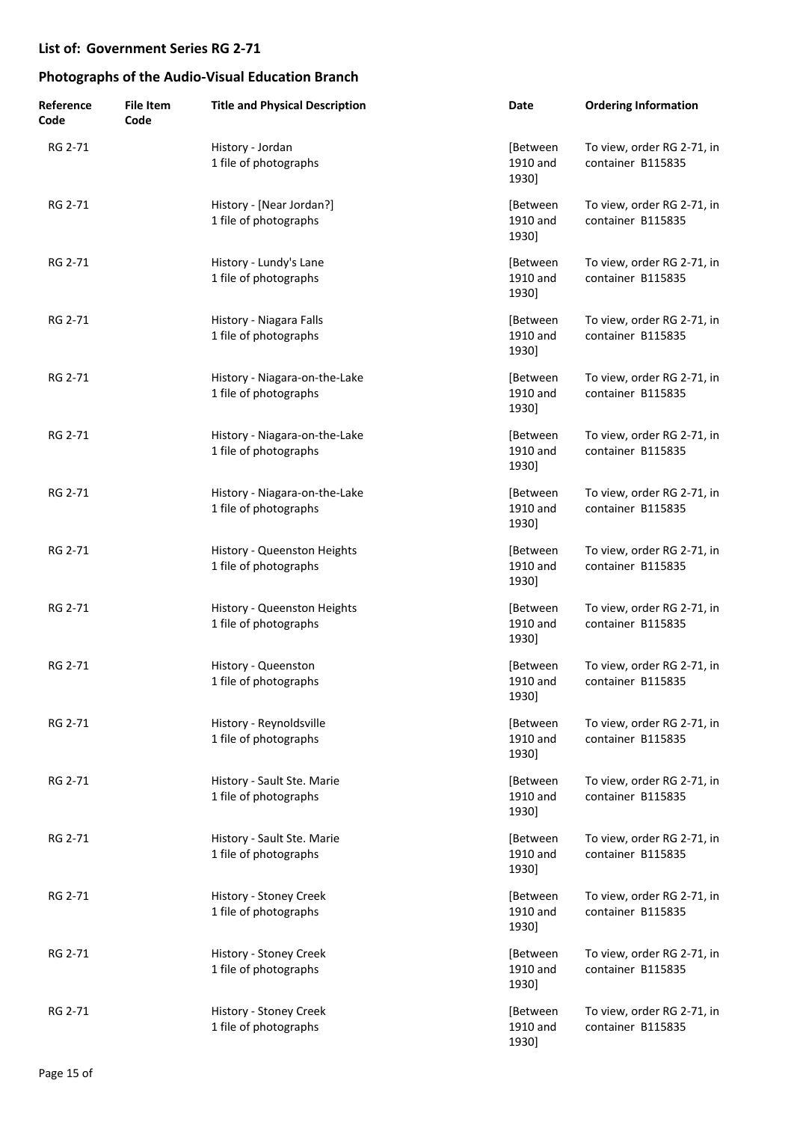| Reference<br>Code | <b>File Item</b><br>Code | <b>Title and Physical Description</b>                  | Date                          | <b>Ordering Information</b>                     |
|-------------------|--------------------------|--------------------------------------------------------|-------------------------------|-------------------------------------------------|
| RG 2-71           |                          | History - Jordan<br>1 file of photographs              | [Between<br>1910 and<br>1930] | To view, order RG 2-71, in<br>container B115835 |
| RG 2-71           |                          | History - [Near Jordan?]<br>1 file of photographs      | [Between<br>1910 and<br>1930] | To view, order RG 2-71, in<br>container B115835 |
| RG 2-71           |                          | History - Lundy's Lane<br>1 file of photographs        | [Between<br>1910 and<br>1930] | To view, order RG 2-71, in<br>container B115835 |
| RG 2-71           |                          | History - Niagara Falls<br>1 file of photographs       | [Between<br>1910 and<br>1930] | To view, order RG 2-71, in<br>container B115835 |
| RG 2-71           |                          | History - Niagara-on-the-Lake<br>1 file of photographs | [Between<br>1910 and<br>1930] | To view, order RG 2-71, in<br>container B115835 |
| RG 2-71           |                          | History - Niagara-on-the-Lake<br>1 file of photographs | [Between<br>1910 and<br>1930] | To view, order RG 2-71, in<br>container B115835 |
| RG 2-71           |                          | History - Niagara-on-the-Lake<br>1 file of photographs | [Between<br>1910 and<br>1930] | To view, order RG 2-71, in<br>container B115835 |
| RG 2-71           |                          | History - Queenston Heights<br>1 file of photographs   | [Between<br>1910 and<br>1930] | To view, order RG 2-71, in<br>container B115835 |
| RG 2-71           |                          | History - Queenston Heights<br>1 file of photographs   | [Between<br>1910 and<br>1930] | To view, order RG 2-71, in<br>container B115835 |
| RG 2-71           |                          | History - Queenston<br>1 file of photographs           | [Between<br>1910 and<br>1930] | To view, order RG 2-71, in<br>container B115835 |
| RG 2-71           |                          | History - Reynoldsville<br>1 file of photographs       | [Between<br>1910 and<br>1930] | To view, order RG 2-71, in<br>container B115835 |
| RG 2-71           |                          | History - Sault Ste. Marie<br>1 file of photographs    | [Between<br>1910 and<br>1930] | To view, order RG 2-71, in<br>container B115835 |
| RG 2-71           |                          | History - Sault Ste. Marie<br>1 file of photographs    | [Between<br>1910 and<br>1930] | To view, order RG 2-71, in<br>container B115835 |
| RG 2-71           |                          | History - Stoney Creek<br>1 file of photographs        | [Between<br>1910 and<br>1930] | To view, order RG 2-71, in<br>container B115835 |
| RG 2-71           |                          | History - Stoney Creek<br>1 file of photographs        | [Between<br>1910 and<br>1930] | To view, order RG 2-71, in<br>container B115835 |
| RG 2-71           |                          | History - Stoney Creek<br>1 file of photographs        | [Between<br>1910 and<br>1930] | To view, order RG 2-71, in<br>container B115835 |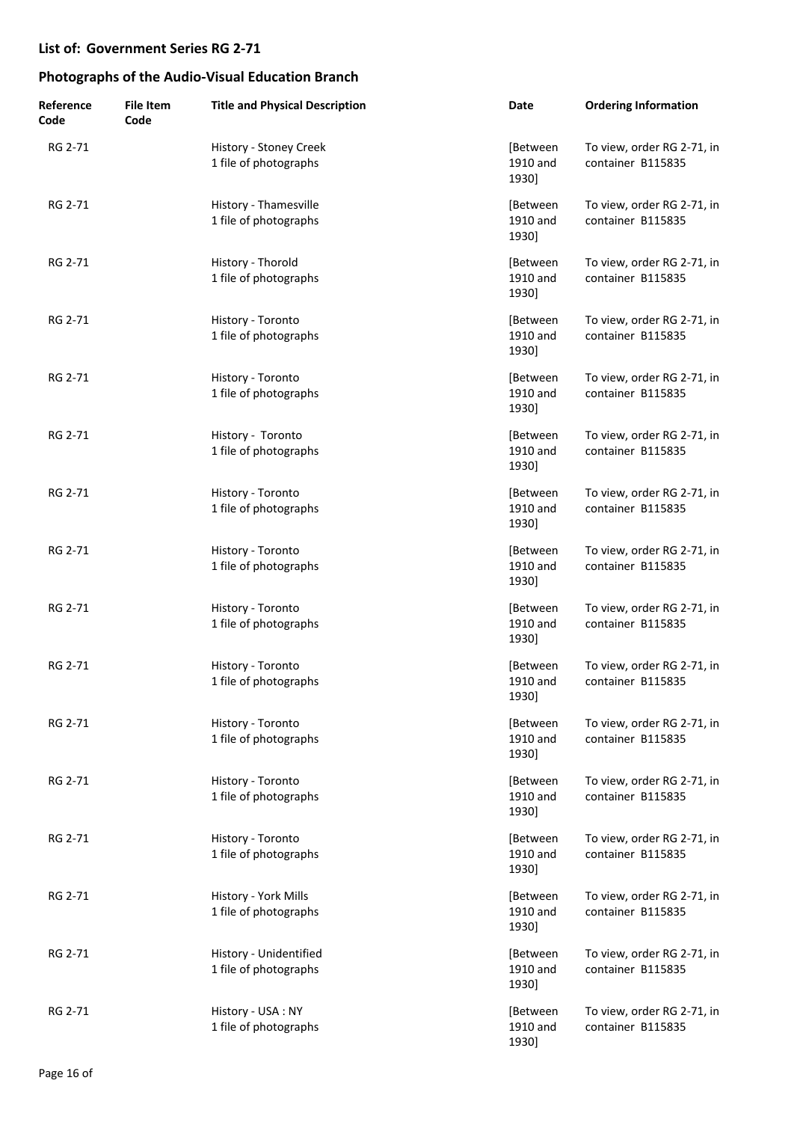| Reference<br>Code | <b>File Item</b><br>Code | <b>Title and Physical Description</b>           | Date                          | <b>Ordering Information</b>                     |
|-------------------|--------------------------|-------------------------------------------------|-------------------------------|-------------------------------------------------|
| RG 2-71           |                          | History - Stoney Creek<br>1 file of photographs | [Between<br>1910 and<br>1930] | To view, order RG 2-71, in<br>container B115835 |
| RG 2-71           |                          | History - Thamesville<br>1 file of photographs  | [Between<br>1910 and<br>1930] | To view, order RG 2-71, in<br>container B115835 |
| RG 2-71           |                          | History - Thorold<br>1 file of photographs      | [Between<br>1910 and<br>1930] | To view, order RG 2-71, in<br>container B115835 |
| RG 2-71           |                          | History - Toronto<br>1 file of photographs      | [Between<br>1910 and<br>1930] | To view, order RG 2-71, in<br>container B115835 |
| RG 2-71           |                          | History - Toronto<br>1 file of photographs      | [Between<br>1910 and<br>1930] | To view, order RG 2-71, in<br>container B115835 |
| RG 2-71           |                          | History - Toronto<br>1 file of photographs      | [Between<br>1910 and<br>1930] | To view, order RG 2-71, in<br>container B115835 |
| RG 2-71           |                          | History - Toronto<br>1 file of photographs      | [Between<br>1910 and<br>1930] | To view, order RG 2-71, in<br>container B115835 |
| RG 2-71           |                          | History - Toronto<br>1 file of photographs      | [Between<br>1910 and<br>1930] | To view, order RG 2-71, in<br>container B115835 |
| RG 2-71           |                          | History - Toronto<br>1 file of photographs      | [Between<br>1910 and<br>1930] | To view, order RG 2-71, in<br>container B115835 |
| RG 2-71           |                          | History - Toronto<br>1 file of photographs      | [Between<br>1910 and<br>1930] | To view, order RG 2-71, in<br>container B115835 |
| RG 2-71           |                          | History - Toronto<br>1 file of photographs      | [Between<br>1910 and<br>1930] | To view, order RG 2-71, in<br>container B115835 |
| RG 2-71           |                          | History - Toronto<br>1 file of photographs      | [Between<br>1910 and<br>1930] | To view, order RG 2-71, in<br>container B115835 |
| RG 2-71           |                          | History - Toronto<br>1 file of photographs      | [Between<br>1910 and<br>1930] | To view, order RG 2-71, in<br>container B115835 |
| RG 2-71           |                          | History - York Mills<br>1 file of photographs   | [Between<br>1910 and<br>1930] | To view, order RG 2-71, in<br>container B115835 |
| RG 2-71           |                          | History - Unidentified<br>1 file of photographs | [Between<br>1910 and<br>1930] | To view, order RG 2-71, in<br>container B115835 |
| RG 2-71           |                          | History - USA : NY<br>1 file of photographs     | [Between<br>1910 and<br>1930] | To view, order RG 2-71, in<br>container B115835 |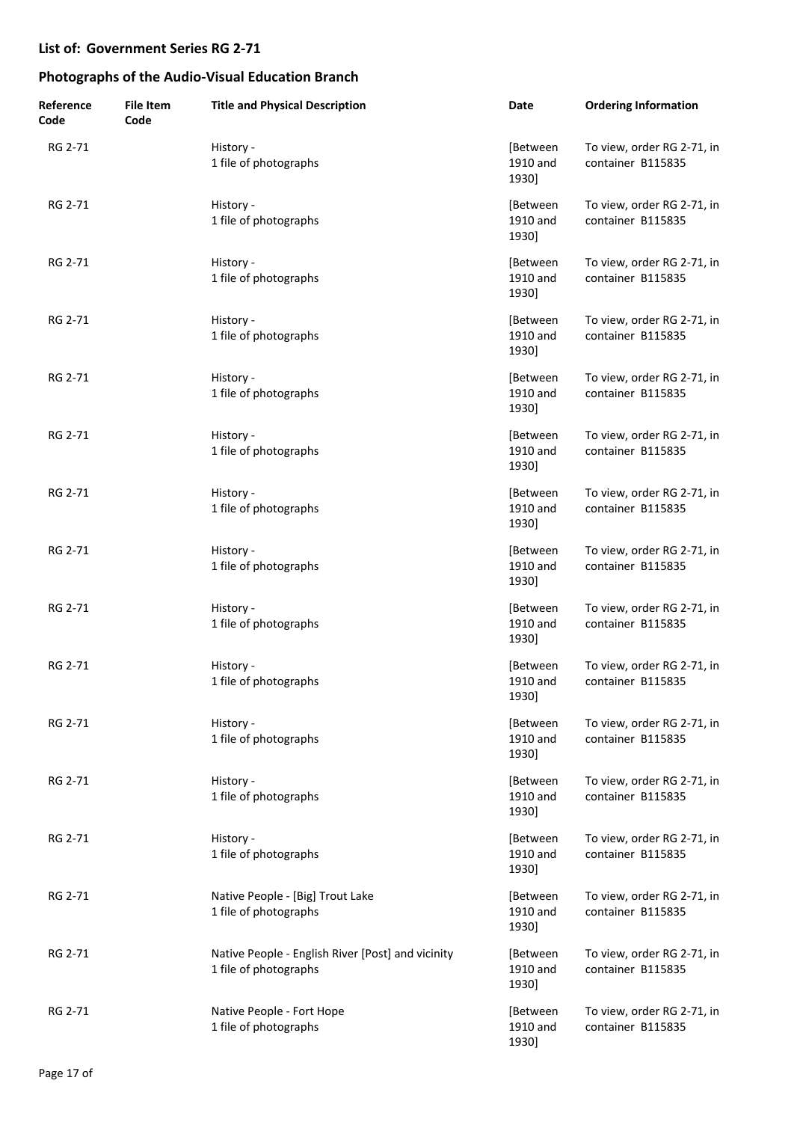| Reference<br>Code | <b>File Item</b><br>Code | <b>Title and Physical Description</b>                                      | Date                          | <b>Ordering Information</b>                     |
|-------------------|--------------------------|----------------------------------------------------------------------------|-------------------------------|-------------------------------------------------|
| RG 2-71           |                          | History -<br>1 file of photographs                                         | [Between<br>1910 and<br>1930] | To view, order RG 2-71, in<br>container B115835 |
| RG 2-71           |                          | History -<br>1 file of photographs                                         | [Between<br>1910 and<br>1930] | To view, order RG 2-71, in<br>container B115835 |
| RG 2-71           |                          | History -<br>1 file of photographs                                         | [Between<br>1910 and<br>1930] | To view, order RG 2-71, in<br>container B115835 |
| RG 2-71           |                          | History -<br>1 file of photographs                                         | [Between<br>1910 and<br>1930] | To view, order RG 2-71, in<br>container B115835 |
| RG 2-71           |                          | History -<br>1 file of photographs                                         | [Between<br>1910 and<br>1930] | To view, order RG 2-71, in<br>container B115835 |
| RG 2-71           |                          | History -<br>1 file of photographs                                         | [Between<br>1910 and<br>1930] | To view, order RG 2-71, in<br>container B115835 |
| RG 2-71           |                          | History -<br>1 file of photographs                                         | [Between<br>1910 and<br>1930] | To view, order RG 2-71, in<br>container B115835 |
| RG 2-71           |                          | History -<br>1 file of photographs                                         | [Between<br>1910 and<br>1930] | To view, order RG 2-71, in<br>container B115835 |
| RG 2-71           |                          | History -<br>1 file of photographs                                         | [Between<br>1910 and<br>1930] | To view, order RG 2-71, in<br>container B115835 |
| RG 2-71           |                          | History -<br>1 file of photographs                                         | [Between<br>1910 and<br>1930] | To view, order RG 2-71, in<br>container B115835 |
| RG 2-71           |                          | History -<br>1 file of photographs                                         | [Between<br>1910 and<br>1930] | To view, order RG 2-71, in<br>container B115835 |
| RG 2-71           |                          | History -<br>1 file of photographs                                         | [Between<br>1910 and<br>1930] | To view, order RG 2-71, in<br>container B115835 |
| RG 2-71           |                          | History -<br>1 file of photographs                                         | [Between<br>1910 and<br>1930] | To view, order RG 2-71, in<br>container B115835 |
| RG 2-71           |                          | Native People - [Big] Trout Lake<br>1 file of photographs                  | [Between<br>1910 and<br>1930] | To view, order RG 2-71, in<br>container B115835 |
| RG 2-71           |                          | Native People - English River [Post] and vicinity<br>1 file of photographs | [Between<br>1910 and<br>1930] | To view, order RG 2-71, in<br>container B115835 |
| RG 2-71           |                          | Native People - Fort Hope<br>1 file of photographs                         | [Between<br>1910 and<br>1930] | To view, order RG 2-71, in<br>container B115835 |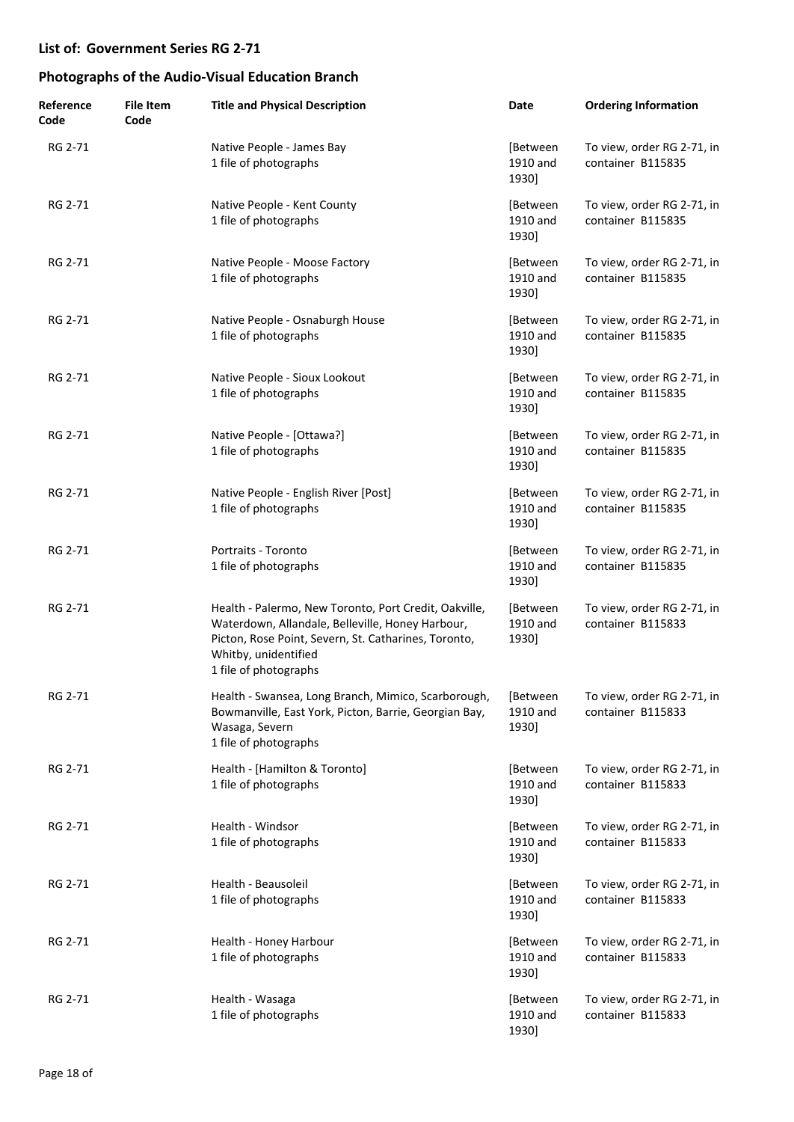| Reference<br>Code | <b>File Item</b><br>Code | <b>Title and Physical Description</b>                                                                                                                                                                              | Date                          | <b>Ordering Information</b>                     |
|-------------------|--------------------------|--------------------------------------------------------------------------------------------------------------------------------------------------------------------------------------------------------------------|-------------------------------|-------------------------------------------------|
| RG 2-71           |                          | Native People - James Bay<br>1 file of photographs                                                                                                                                                                 | [Between<br>1910 and<br>1930] | To view, order RG 2-71, in<br>container B115835 |
| RG 2-71           |                          | Native People - Kent County<br>1 file of photographs                                                                                                                                                               | [Between<br>1910 and<br>1930] | To view, order RG 2-71, in<br>container B115835 |
| RG 2-71           |                          | Native People - Moose Factory<br>1 file of photographs                                                                                                                                                             | [Between<br>1910 and<br>1930] | To view, order RG 2-71, in<br>container B115835 |
| RG 2-71           |                          | Native People - Osnaburgh House<br>1 file of photographs                                                                                                                                                           | [Between<br>1910 and<br>1930] | To view, order RG 2-71, in<br>container B115835 |
| RG 2-71           |                          | Native People - Sioux Lookout<br>1 file of photographs                                                                                                                                                             | [Between<br>1910 and<br>1930] | To view, order RG 2-71, in<br>container B115835 |
| RG 2-71           |                          | Native People - [Ottawa?]<br>1 file of photographs                                                                                                                                                                 | [Between<br>1910 and<br>1930] | To view, order RG 2-71, in<br>container B115835 |
| RG 2-71           |                          | Native People - English River [Post]<br>1 file of photographs                                                                                                                                                      | [Between<br>1910 and<br>1930] | To view, order RG 2-71, in<br>container B115835 |
| RG 2-71           |                          | Portraits - Toronto<br>1 file of photographs                                                                                                                                                                       | [Between<br>1910 and<br>1930] | To view, order RG 2-71, in<br>container B115835 |
| RG 2-71           |                          | Health - Palermo, New Toronto, Port Credit, Oakville,<br>Waterdown, Allandale, Belleville, Honey Harbour,<br>Picton, Rose Point, Severn, St. Catharines, Toronto,<br>Whitby, unidentified<br>1 file of photographs | [Between<br>1910 and<br>1930] | To view, order RG 2-71, in<br>container B115833 |
| RG 2-71           |                          | Health - Swansea, Long Branch, Mimico, Scarborough,<br>Bowmanville, East York, Picton, Barrie, Georgian Bay,<br>Wasaga, Severn<br>1 file of photographs                                                            | [Between<br>1910 and<br>1930] | To view, order RG 2-71, in<br>container B115833 |
| RG 2-71           |                          | Health - [Hamilton & Toronto]<br>1 file of photographs                                                                                                                                                             | [Between<br>1910 and<br>1930] | To view, order RG 2-71, in<br>container B115833 |
| RG 2-71           |                          | Health - Windsor<br>1 file of photographs                                                                                                                                                                          | [Between<br>1910 and<br>1930] | To view, order RG 2-71, in<br>container B115833 |
| RG 2-71           |                          | Health - Beausoleil<br>1 file of photographs                                                                                                                                                                       | [Between<br>1910 and<br>1930] | To view, order RG 2-71, in<br>container B115833 |
| RG 2-71           |                          | Health - Honey Harbour<br>1 file of photographs                                                                                                                                                                    | [Between<br>1910 and<br>1930] | To view, order RG 2-71, in<br>container B115833 |
| RG 2-71           |                          | Health - Wasaga<br>1 file of photographs                                                                                                                                                                           | [Between<br>1910 and<br>1930] | To view, order RG 2-71, in<br>container B115833 |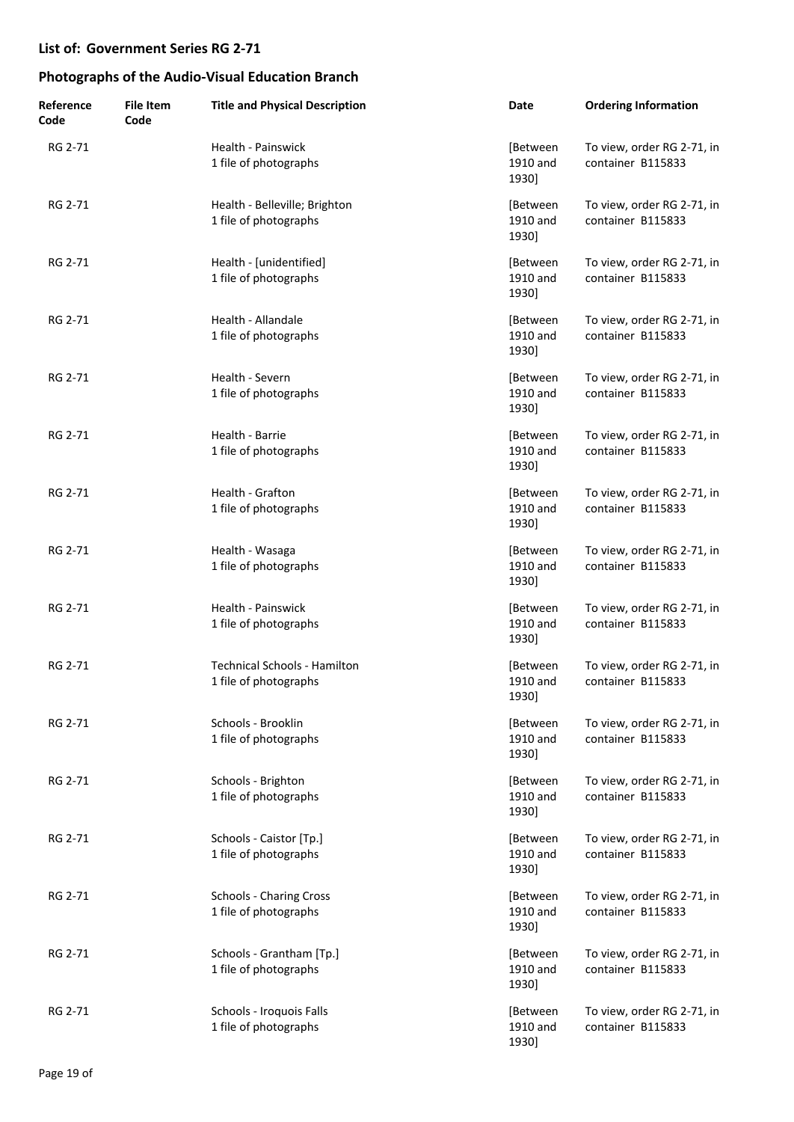| Reference<br>Code | <b>File Item</b><br>Code | <b>Title and Physical Description</b>                        | Date                          | <b>Ordering Information</b>                     |
|-------------------|--------------------------|--------------------------------------------------------------|-------------------------------|-------------------------------------------------|
| RG 2-71           |                          | Health - Painswick<br>1 file of photographs                  | [Between<br>1910 and<br>1930] | To view, order RG 2-71, in<br>container B115833 |
| RG 2-71           |                          | Health - Belleville; Brighton<br>1 file of photographs       | [Between<br>1910 and<br>1930] | To view, order RG 2-71, in<br>container B115833 |
| RG 2-71           |                          | Health - [unidentified]<br>1 file of photographs             | [Between<br>1910 and<br>1930] | To view, order RG 2-71, in<br>container B115833 |
| RG 2-71           |                          | Health - Allandale<br>1 file of photographs                  | [Between<br>1910 and<br>1930] | To view, order RG 2-71, in<br>container B115833 |
| RG 2-71           |                          | Health - Severn<br>1 file of photographs                     | [Between<br>1910 and<br>1930] | To view, order RG 2-71, in<br>container B115833 |
| RG 2-71           |                          | Health - Barrie<br>1 file of photographs                     | [Between<br>1910 and<br>1930] | To view, order RG 2-71, in<br>container B115833 |
| RG 2-71           |                          | Health - Grafton<br>1 file of photographs                    | [Between<br>1910 and<br>1930] | To view, order RG 2-71, in<br>container B115833 |
| RG 2-71           |                          | Health - Wasaga<br>1 file of photographs                     | [Between<br>1910 and<br>1930] | To view, order RG 2-71, in<br>container B115833 |
| RG 2-71           |                          | Health - Painswick<br>1 file of photographs                  | [Between<br>1910 and<br>1930] | To view, order RG 2-71, in<br>container B115833 |
| RG 2-71           |                          | <b>Technical Schools - Hamilton</b><br>1 file of photographs | [Between<br>1910 and<br>1930] | To view, order RG 2-71, in<br>container B115833 |
| RG 2-71           |                          | Schools - Brooklin<br>1 file of photographs                  | [Between<br>1910 and<br>1930] | To view, order RG 2-71, in<br>container B115833 |
| RG 2-71           |                          | Schools - Brighton<br>1 file of photographs                  | [Between<br>1910 and<br>1930] | To view, order RG 2-71, in<br>container B115833 |
| RG 2-71           |                          | Schools - Caistor [Tp.]<br>1 file of photographs             | [Between<br>1910 and<br>1930] | To view, order RG 2-71, in<br>container B115833 |
| RG 2-71           |                          | <b>Schools - Charing Cross</b><br>1 file of photographs      | [Between<br>1910 and<br>1930] | To view, order RG 2-71, in<br>container B115833 |
| RG 2-71           |                          | Schools - Grantham [Tp.]<br>1 file of photographs            | [Between<br>1910 and<br>1930] | To view, order RG 2-71, in<br>container B115833 |
| RG 2-71           |                          | Schools - Iroquois Falls<br>1 file of photographs            | [Between<br>1910 and<br>1930] | To view, order RG 2-71, in<br>container B115833 |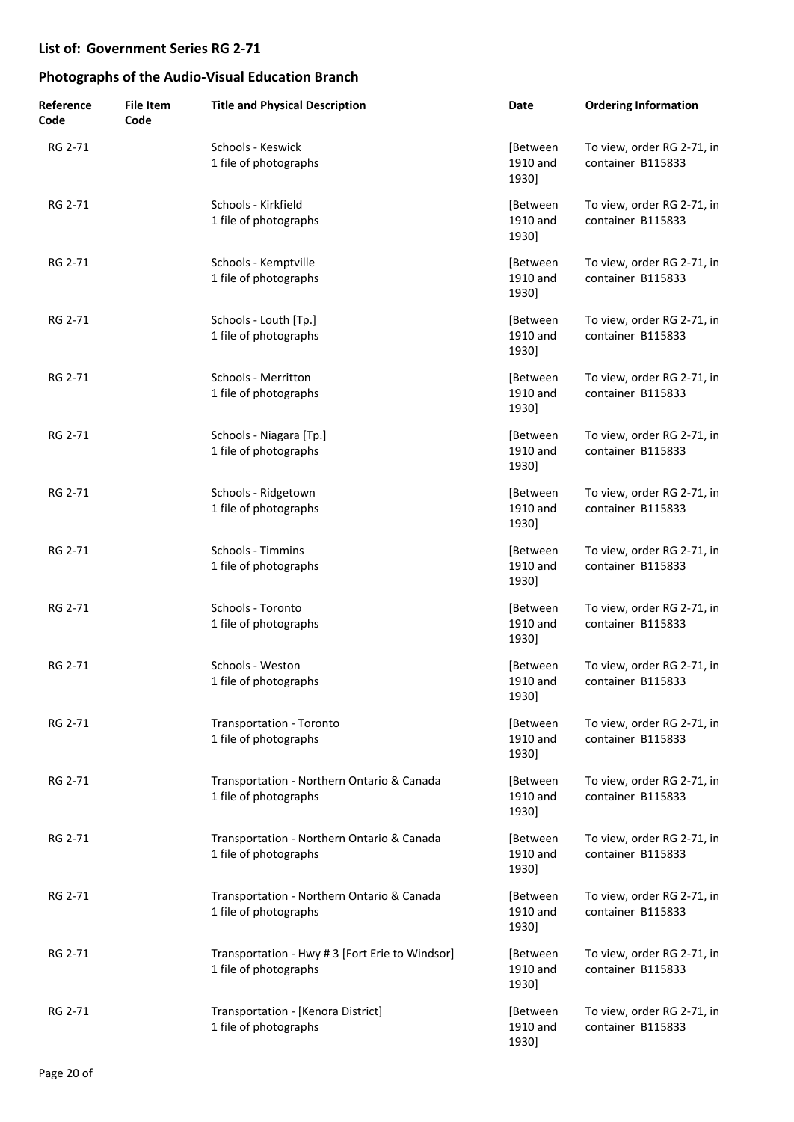| Reference<br>Code | <b>File Item</b><br>Code | <b>Title and Physical Description</b>                                    | Date                          | <b>Ordering Information</b>                     |
|-------------------|--------------------------|--------------------------------------------------------------------------|-------------------------------|-------------------------------------------------|
| RG 2-71           |                          | Schools - Keswick<br>1 file of photographs                               | [Between<br>1910 and<br>1930] | To view, order RG 2-71, in<br>container B115833 |
| RG 2-71           |                          | Schools - Kirkfield<br>1 file of photographs                             | [Between<br>1910 and<br>1930] | To view, order RG 2-71, in<br>container B115833 |
| RG 2-71           |                          | Schools - Kemptville<br>1 file of photographs                            | [Between<br>1910 and<br>1930] | To view, order RG 2-71, in<br>container B115833 |
| RG 2-71           |                          | Schools - Louth [Tp.]<br>1 file of photographs                           | [Between<br>1910 and<br>1930] | To view, order RG 2-71, in<br>container B115833 |
| RG 2-71           |                          | Schools - Merritton<br>1 file of photographs                             | [Between<br>1910 and<br>1930] | To view, order RG 2-71, in<br>container B115833 |
| RG 2-71           |                          | Schools - Niagara [Tp.]<br>1 file of photographs                         | [Between<br>1910 and<br>1930] | To view, order RG 2-71, in<br>container B115833 |
| RG 2-71           |                          | Schools - Ridgetown<br>1 file of photographs                             | [Between<br>1910 and<br>1930] | To view, order RG 2-71, in<br>container B115833 |
| RG 2-71           |                          | Schools - Timmins<br>1 file of photographs                               | [Between<br>1910 and<br>1930] | To view, order RG 2-71, in<br>container B115833 |
| RG 2-71           |                          | Schools - Toronto<br>1 file of photographs                               | [Between<br>1910 and<br>1930] | To view, order RG 2-71, in<br>container B115833 |
| RG 2-71           |                          | Schools - Weston<br>1 file of photographs                                | [Between<br>1910 and<br>1930] | To view, order RG 2-71, in<br>container B115833 |
| RG 2-71           |                          | Transportation - Toronto<br>1 file of photographs                        | [Between<br>1910 and<br>1930] | To view, order RG 2-71, in<br>container B115833 |
| RG 2-71           |                          | Transportation - Northern Ontario & Canada<br>1 file of photographs      | [Between<br>1910 and<br>1930] | To view, order RG 2-71, in<br>container B115833 |
| RG 2-71           |                          | Transportation - Northern Ontario & Canada<br>1 file of photographs      | [Between<br>1910 and<br>1930] | To view, order RG 2-71, in<br>container B115833 |
| RG 2-71           |                          | Transportation - Northern Ontario & Canada<br>1 file of photographs      | [Between<br>1910 and<br>1930] | To view, order RG 2-71, in<br>container B115833 |
| RG 2-71           |                          | Transportation - Hwy # 3 [Fort Erie to Windsor]<br>1 file of photographs | [Between<br>1910 and<br>1930] | To view, order RG 2-71, in<br>container B115833 |
| RG 2-71           |                          | Transportation - [Kenora District]<br>1 file of photographs              | [Between<br>1910 and<br>1930] | To view, order RG 2-71, in<br>container B115833 |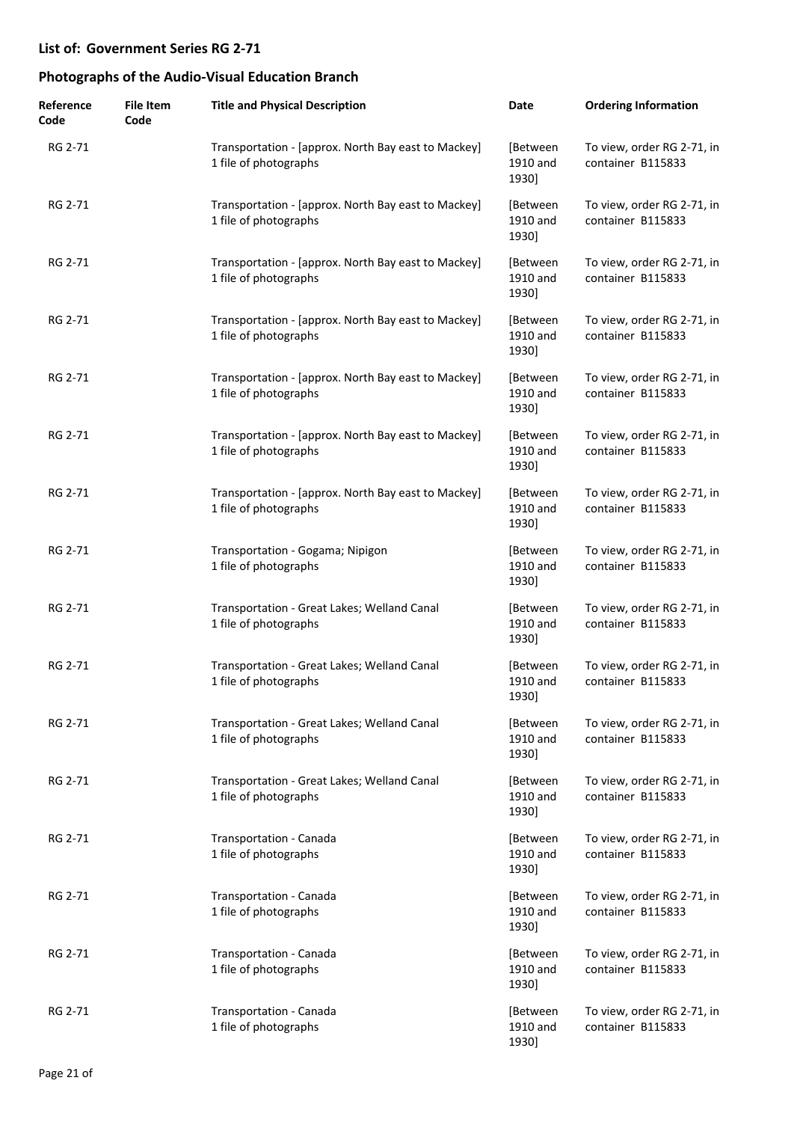| Reference<br>Code | <b>File Item</b><br>Code | <b>Title and Physical Description</b>                                        | Date                          | <b>Ordering Information</b>                     |
|-------------------|--------------------------|------------------------------------------------------------------------------|-------------------------------|-------------------------------------------------|
| RG 2-71           |                          | Transportation - [approx. North Bay east to Mackey]<br>1 file of photographs | [Between<br>1910 and<br>1930] | To view, order RG 2-71, in<br>container B115833 |
| RG 2-71           |                          | Transportation - [approx. North Bay east to Mackey]<br>1 file of photographs | [Between<br>1910 and<br>1930] | To view, order RG 2-71, in<br>container B115833 |
| RG 2-71           |                          | Transportation - [approx. North Bay east to Mackey]<br>1 file of photographs | [Between<br>1910 and<br>1930] | To view, order RG 2-71, in<br>container B115833 |
| RG 2-71           |                          | Transportation - [approx. North Bay east to Mackey]<br>1 file of photographs | [Between<br>1910 and<br>1930] | To view, order RG 2-71, in<br>container B115833 |
| RG 2-71           |                          | Transportation - [approx. North Bay east to Mackey]<br>1 file of photographs | [Between<br>1910 and<br>1930] | To view, order RG 2-71, in<br>container B115833 |
| RG 2-71           |                          | Transportation - [approx. North Bay east to Mackey]<br>1 file of photographs | [Between<br>1910 and<br>1930] | To view, order RG 2-71, in<br>container B115833 |
| RG 2-71           |                          | Transportation - [approx. North Bay east to Mackey]<br>1 file of photographs | [Between<br>1910 and<br>1930] | To view, order RG 2-71, in<br>container B115833 |
| RG 2-71           |                          | Transportation - Gogama; Nipigon<br>1 file of photographs                    | [Between<br>1910 and<br>1930] | To view, order RG 2-71, in<br>container B115833 |
| RG 2-71           |                          | Transportation - Great Lakes; Welland Canal<br>1 file of photographs         | [Between<br>1910 and<br>1930] | To view, order RG 2-71, in<br>container B115833 |
| RG 2-71           |                          | Transportation - Great Lakes; Welland Canal<br>1 file of photographs         | [Between<br>1910 and<br>1930] | To view, order RG 2-71, in<br>container B115833 |
| RG 2-71           |                          | Transportation - Great Lakes; Welland Canal<br>1 file of photographs         | [Between<br>1910 and<br>1930] | To view, order RG 2-71, in<br>container B115833 |
| RG 2-71           |                          | Transportation - Great Lakes; Welland Canal<br>1 file of photographs         | [Between<br>1910 and<br>1930] | To view, order RG 2-71, in<br>container B115833 |
| RG 2-71           |                          | Transportation - Canada<br>1 file of photographs                             | [Between<br>1910 and<br>1930] | To view, order RG 2-71, in<br>container B115833 |
| RG 2-71           |                          | Transportation - Canada<br>1 file of photographs                             | [Between<br>1910 and<br>1930] | To view, order RG 2-71, in<br>container B115833 |
| RG 2-71           |                          | Transportation - Canada<br>1 file of photographs                             | [Between<br>1910 and<br>1930] | To view, order RG 2-71, in<br>container B115833 |
| RG 2-71           |                          | Transportation - Canada<br>1 file of photographs                             | [Between<br>1910 and<br>1930] | To view, order RG 2-71, in<br>container B115833 |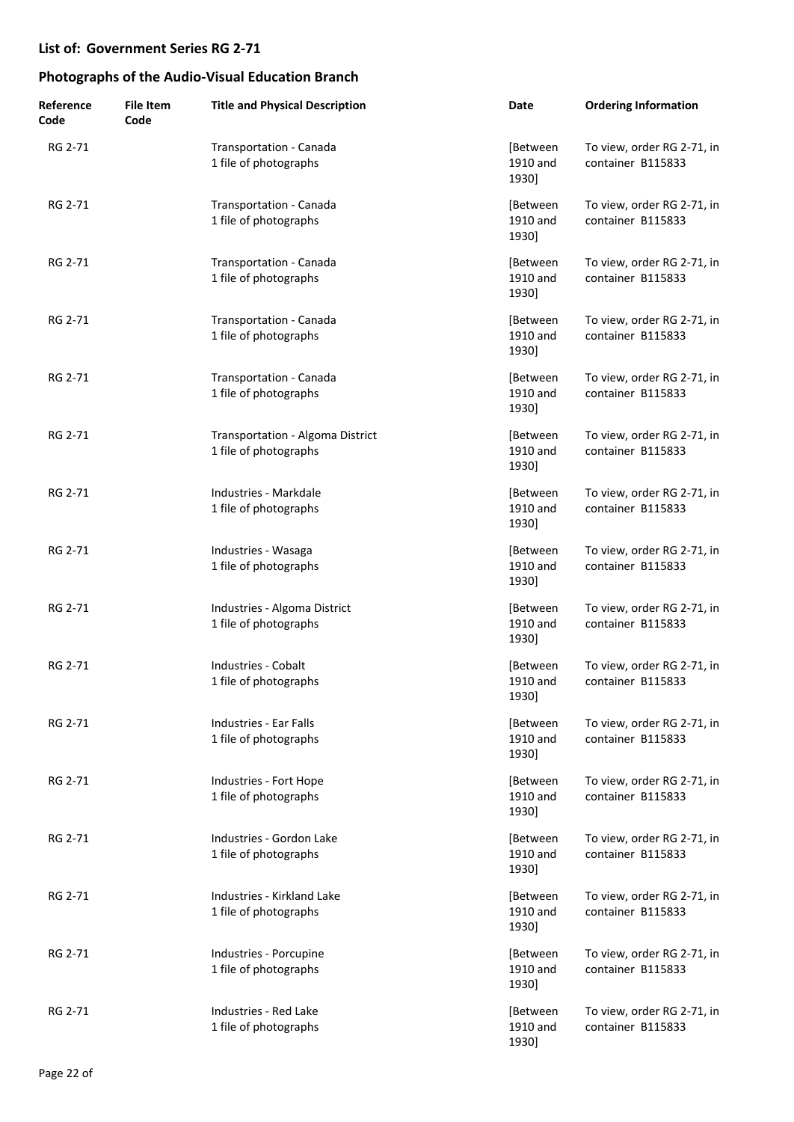| Reference<br>Code | <b>File Item</b><br>Code | <b>Title and Physical Description</b>                     | Date                          | <b>Ordering Information</b>                     |
|-------------------|--------------------------|-----------------------------------------------------------|-------------------------------|-------------------------------------------------|
| RG 2-71           |                          | Transportation - Canada<br>1 file of photographs          | [Between<br>1910 and<br>1930] | To view, order RG 2-71, in<br>container B115833 |
| RG 2-71           |                          | Transportation - Canada<br>1 file of photographs          | [Between<br>1910 and<br>1930] | To view, order RG 2-71, in<br>container B115833 |
| RG 2-71           |                          | Transportation - Canada<br>1 file of photographs          | [Between<br>1910 and<br>1930] | To view, order RG 2-71, in<br>container B115833 |
| RG 2-71           |                          | Transportation - Canada<br>1 file of photographs          | [Between<br>1910 and<br>1930] | To view, order RG 2-71, in<br>container B115833 |
| RG 2-71           |                          | Transportation - Canada<br>1 file of photographs          | [Between<br>1910 and<br>1930] | To view, order RG 2-71, in<br>container B115833 |
| RG 2-71           |                          | Transportation - Algoma District<br>1 file of photographs | [Between<br>1910 and<br>1930] | To view, order RG 2-71, in<br>container B115833 |
| RG 2-71           |                          | Industries - Markdale<br>1 file of photographs            | [Between<br>1910 and<br>1930] | To view, order RG 2-71, in<br>container B115833 |
| RG 2-71           |                          | Industries - Wasaga<br>1 file of photographs              | [Between<br>1910 and<br>1930] | To view, order RG 2-71, in<br>container B115833 |
| RG 2-71           |                          | Industries - Algoma District<br>1 file of photographs     | [Between<br>1910 and<br>1930] | To view, order RG 2-71, in<br>container B115833 |
| RG 2-71           |                          | <b>Industries - Cobalt</b><br>1 file of photographs       | [Between<br>1910 and<br>1930] | To view, order RG 2-71, in<br>container B115833 |
| RG 2-71           |                          | Industries - Ear Falls<br>1 file of photographs           | [Between<br>1910 and<br>1930] | To view, order RG 2-71, in<br>container B115833 |
| RG 2-71           |                          | Industries - Fort Hope<br>1 file of photographs           | [Between<br>1910 and<br>1930] | To view, order RG 2-71, in<br>container B115833 |
| RG 2-71           |                          | Industries - Gordon Lake<br>1 file of photographs         | [Between<br>1910 and<br>1930] | To view, order RG 2-71, in<br>container B115833 |
| RG 2-71           |                          | Industries - Kirkland Lake<br>1 file of photographs       | [Between<br>1910 and<br>1930] | To view, order RG 2-71, in<br>container B115833 |
| RG 2-71           |                          | Industries - Porcupine<br>1 file of photographs           | [Between<br>1910 and<br>1930] | To view, order RG 2-71, in<br>container B115833 |
| RG 2-71           |                          | Industries - Red Lake<br>1 file of photographs            | [Between<br>1910 and<br>1930] | To view, order RG 2-71, in<br>container B115833 |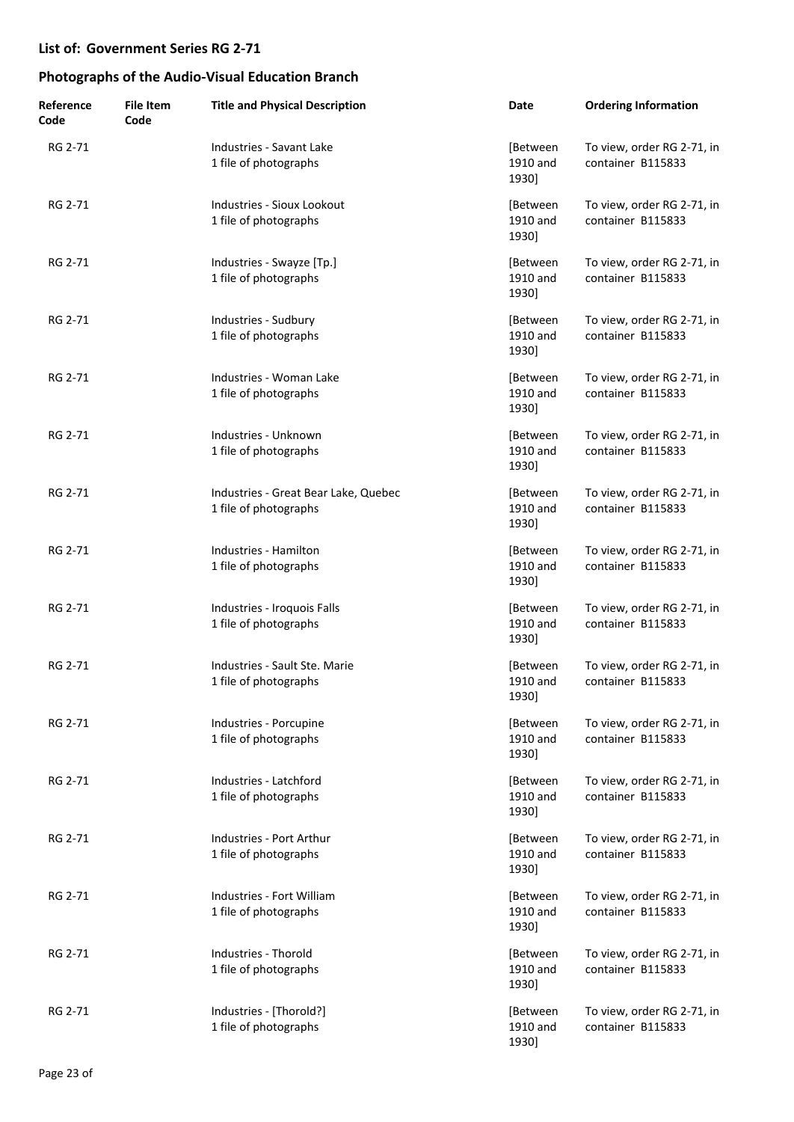| Reference<br>Code | <b>File Item</b><br>Code | <b>Title and Physical Description</b>                         | Date                          | <b>Ordering Information</b>                     |
|-------------------|--------------------------|---------------------------------------------------------------|-------------------------------|-------------------------------------------------|
| RG 2-71           |                          | Industries - Savant Lake<br>1 file of photographs             | [Between<br>1910 and<br>1930] | To view, order RG 2-71, in<br>container B115833 |
| RG 2-71           |                          | Industries - Sioux Lookout<br>1 file of photographs           | [Between<br>1910 and<br>1930] | To view, order RG 2-71, in<br>container B115833 |
| RG 2-71           |                          | Industries - Swayze [Tp.]<br>1 file of photographs            | [Between<br>1910 and<br>1930] | To view, order RG 2-71, in<br>container B115833 |
| RG 2-71           |                          | Industries - Sudbury<br>1 file of photographs                 | [Between<br>1910 and<br>1930] | To view, order RG 2-71, in<br>container B115833 |
| RG 2-71           |                          | Industries - Woman Lake<br>1 file of photographs              | [Between<br>1910 and<br>1930] | To view, order RG 2-71, in<br>container B115833 |
| RG 2-71           |                          | Industries - Unknown<br>1 file of photographs                 | [Between<br>1910 and<br>1930] | To view, order RG 2-71, in<br>container B115833 |
| RG 2-71           |                          | Industries - Great Bear Lake, Quebec<br>1 file of photographs | [Between<br>1910 and<br>1930] | To view, order RG 2-71, in<br>container B115833 |
| RG 2-71           |                          | Industries - Hamilton<br>1 file of photographs                | [Between<br>1910 and<br>1930] | To view, order RG 2-71, in<br>container B115833 |
| RG 2-71           |                          | Industries - Iroquois Falls<br>1 file of photographs          | [Between<br>1910 and<br>1930] | To view, order RG 2-71, in<br>container B115833 |
| RG 2-71           |                          | Industries - Sault Ste. Marie<br>1 file of photographs        | [Between<br>1910 and<br>1930] | To view, order RG 2-71, in<br>container B115833 |
| RG 2-71           |                          | Industries - Porcupine<br>1 file of photographs               | [Between<br>1910 and<br>1930] | To view, order RG 2-71, in<br>container B115833 |
| RG 2-71           |                          | Industries - Latchford<br>1 file of photographs               | [Between<br>1910 and<br>1930] | To view, order RG 2-71, in<br>container B115833 |
| RG 2-71           |                          | Industries - Port Arthur<br>1 file of photographs             | [Between<br>1910 and<br>1930] | To view, order RG 2-71, in<br>container B115833 |
| RG 2-71           |                          | Industries - Fort William<br>1 file of photographs            | [Between<br>1910 and<br>1930] | To view, order RG 2-71, in<br>container B115833 |
| RG 2-71           |                          | Industries - Thorold<br>1 file of photographs                 | [Between<br>1910 and<br>1930] | To view, order RG 2-71, in<br>container B115833 |
| RG 2-71           |                          | Industries - [Thorold?]<br>1 file of photographs              | [Between<br>1910 and<br>1930] | To view, order RG 2-71, in<br>container B115833 |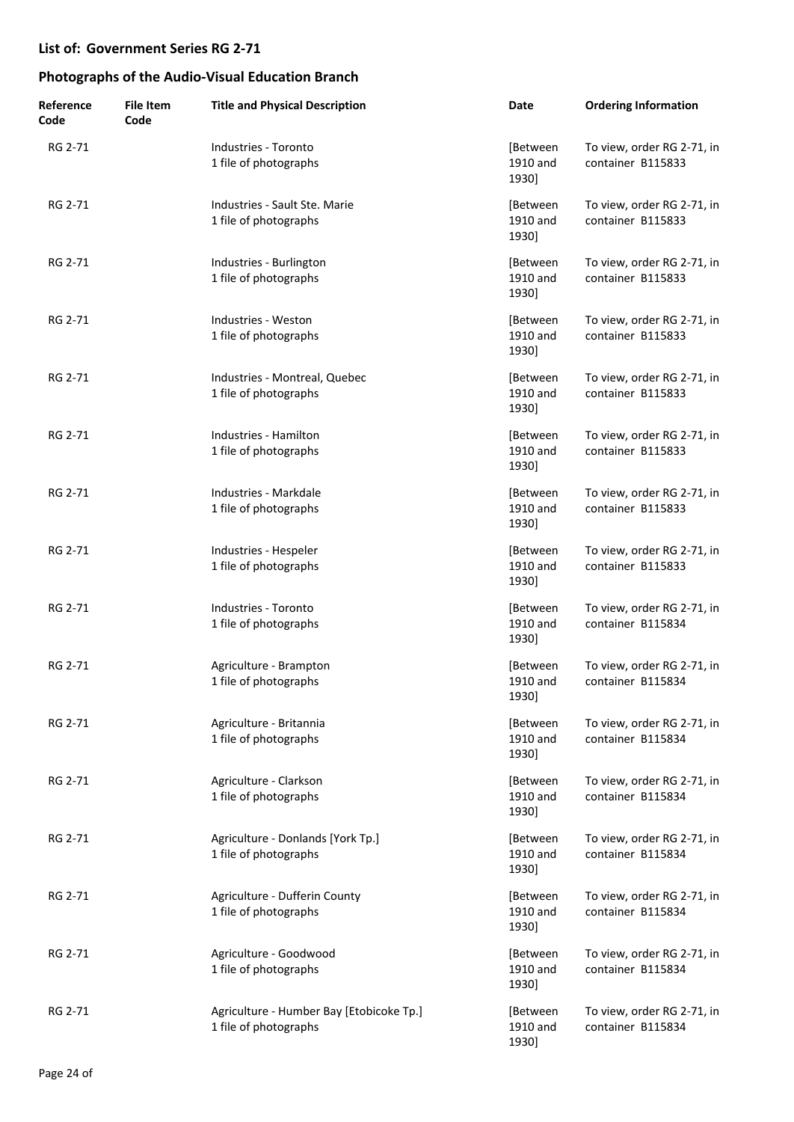| Reference<br>Code | <b>File Item</b><br>Code | <b>Title and Physical Description</b>                             | Date                          | <b>Ordering Information</b>                     |
|-------------------|--------------------------|-------------------------------------------------------------------|-------------------------------|-------------------------------------------------|
| RG 2-71           |                          | Industries - Toronto<br>1 file of photographs                     | [Between<br>1910 and<br>1930] | To view, order RG 2-71, in<br>container B115833 |
| RG 2-71           |                          | Industries - Sault Ste. Marie<br>1 file of photographs            | [Between<br>1910 and<br>1930] | To view, order RG 2-71, in<br>container B115833 |
| RG 2-71           |                          | Industries - Burlington<br>1 file of photographs                  | [Between<br>1910 and<br>1930] | To view, order RG 2-71, in<br>container B115833 |
| RG 2-71           |                          | Industries - Weston<br>1 file of photographs                      | [Between<br>1910 and<br>1930] | To view, order RG 2-71, in<br>container B115833 |
| RG 2-71           |                          | Industries - Montreal, Quebec<br>1 file of photographs            | [Between<br>1910 and<br>1930] | To view, order RG 2-71, in<br>container B115833 |
| RG 2-71           |                          | Industries - Hamilton<br>1 file of photographs                    | [Between<br>1910 and<br>1930] | To view, order RG 2-71, in<br>container B115833 |
| RG 2-71           |                          | Industries - Markdale<br>1 file of photographs                    | [Between<br>1910 and<br>1930] | To view, order RG 2-71, in<br>container B115833 |
| RG 2-71           |                          | Industries - Hespeler<br>1 file of photographs                    | [Between<br>1910 and<br>1930] | To view, order RG 2-71, in<br>container B115833 |
| RG 2-71           |                          | Industries - Toronto<br>1 file of photographs                     | [Between<br>1910 and<br>1930] | To view, order RG 2-71, in<br>container B115834 |
| RG 2-71           |                          | Agriculture - Brampton<br>1 file of photographs                   | [Between<br>1910 and<br>1930] | To view, order RG 2-71, in<br>container B115834 |
| RG 2-71           |                          | Agriculture - Britannia<br>1 file of photographs                  | [Between<br>1910 and<br>1930] | To view, order RG 2-71, in<br>container B115834 |
| RG 2-71           |                          | Agriculture - Clarkson<br>1 file of photographs                   | [Between<br>1910 and<br>1930] | To view, order RG 2-71, in<br>container B115834 |
| RG 2-71           |                          | Agriculture - Donlands [York Tp.]<br>1 file of photographs        | [Between<br>1910 and<br>1930] | To view, order RG 2-71, in<br>container B115834 |
| RG 2-71           |                          | Agriculture - Dufferin County<br>1 file of photographs            | [Between<br>1910 and<br>1930] | To view, order RG 2-71, in<br>container B115834 |
| RG 2-71           |                          | Agriculture - Goodwood<br>1 file of photographs                   | [Between<br>1910 and<br>1930] | To view, order RG 2-71, in<br>container B115834 |
| RG 2-71           |                          | Agriculture - Humber Bay [Etobicoke Tp.]<br>1 file of photographs | [Between<br>1910 and<br>1930] | To view, order RG 2-71, in<br>container B115834 |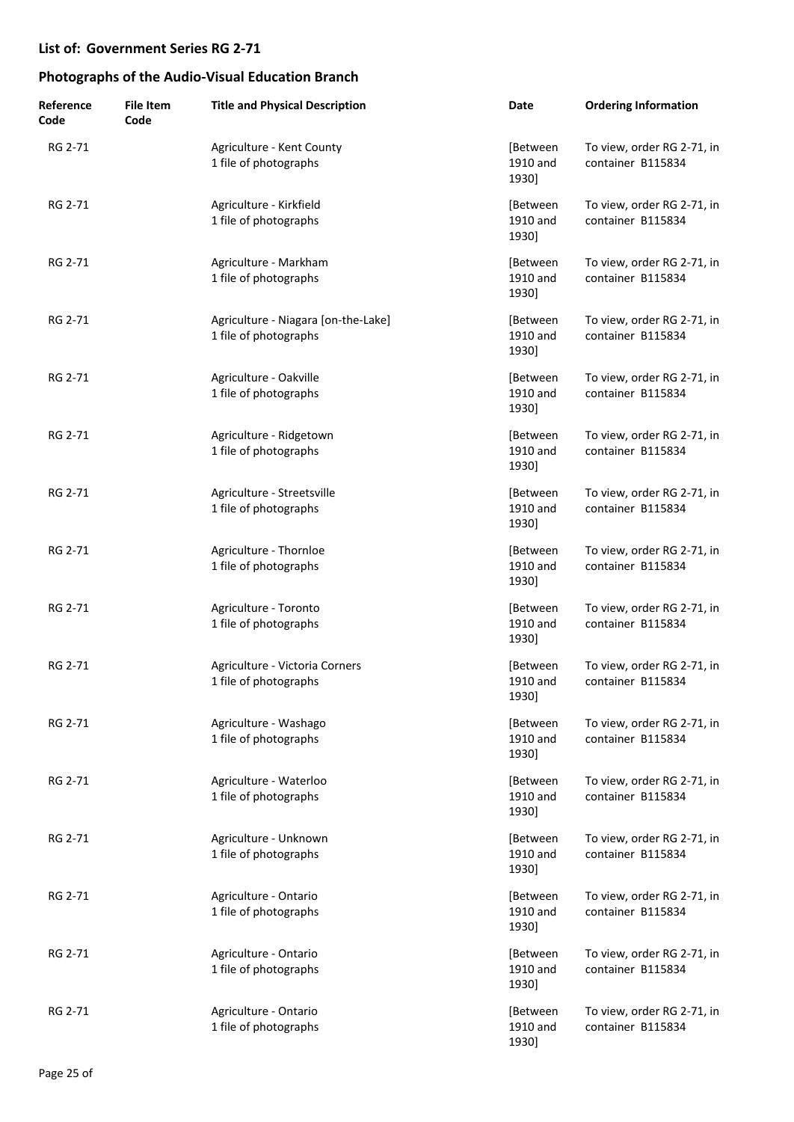| Reference<br>Code | <b>File Item</b><br>Code | <b>Title and Physical Description</b>                        | Date                          | <b>Ordering Information</b>                     |
|-------------------|--------------------------|--------------------------------------------------------------|-------------------------------|-------------------------------------------------|
| RG 2-71           |                          | Agriculture - Kent County<br>1 file of photographs           | [Between<br>1910 and<br>1930] | To view, order RG 2-71, in<br>container B115834 |
| RG 2-71           |                          | Agriculture - Kirkfield<br>1 file of photographs             | [Between<br>1910 and<br>1930] | To view, order RG 2-71, in<br>container B115834 |
| RG 2-71           |                          | Agriculture - Markham<br>1 file of photographs               | [Between<br>1910 and<br>1930] | To view, order RG 2-71, in<br>container B115834 |
| RG 2-71           |                          | Agriculture - Niagara [on-the-Lake]<br>1 file of photographs | [Between<br>1910 and<br>1930] | To view, order RG 2-71, in<br>container B115834 |
| RG 2-71           |                          | Agriculture - Oakville<br>1 file of photographs              | [Between<br>1910 and<br>1930] | To view, order RG 2-71, in<br>container B115834 |
| RG 2-71           |                          | Agriculture - Ridgetown<br>1 file of photographs             | [Between<br>1910 and<br>1930] | To view, order RG 2-71, in<br>container B115834 |
| RG 2-71           |                          | Agriculture - Streetsville<br>1 file of photographs          | [Between<br>1910 and<br>1930] | To view, order RG 2-71, in<br>container B115834 |
| RG 2-71           |                          | Agriculture - Thornloe<br>1 file of photographs              | [Between<br>1910 and<br>1930] | To view, order RG 2-71, in<br>container B115834 |
| RG 2-71           |                          | Agriculture - Toronto<br>1 file of photographs               | [Between<br>1910 and<br>1930] | To view, order RG 2-71, in<br>container B115834 |
| RG 2-71           |                          | Agriculture - Victoria Corners<br>1 file of photographs      | [Between<br>1910 and<br>1930] | To view, order RG 2-71, in<br>container B115834 |
| RG 2-71           |                          | Agriculture - Washago<br>1 file of photographs               | [Between<br>1910 and<br>1930] | To view, order RG 2-71, in<br>container B115834 |
| RG 2-71           |                          | Agriculture - Waterloo<br>1 file of photographs              | [Between<br>1910 and<br>1930] | To view, order RG 2-71, in<br>container B115834 |
| RG 2-71           |                          | Agriculture - Unknown<br>1 file of photographs               | [Between<br>1910 and<br>1930] | To view, order RG 2-71, in<br>container B115834 |
| RG 2-71           |                          | Agriculture - Ontario<br>1 file of photographs               | [Between<br>1910 and<br>1930] | To view, order RG 2-71, in<br>container B115834 |
| RG 2-71           |                          | Agriculture - Ontario<br>1 file of photographs               | [Between<br>1910 and<br>1930] | To view, order RG 2-71, in<br>container B115834 |
| RG 2-71           |                          | Agriculture - Ontario<br>1 file of photographs               | [Between<br>1910 and<br>1930] | To view, order RG 2-71, in<br>container B115834 |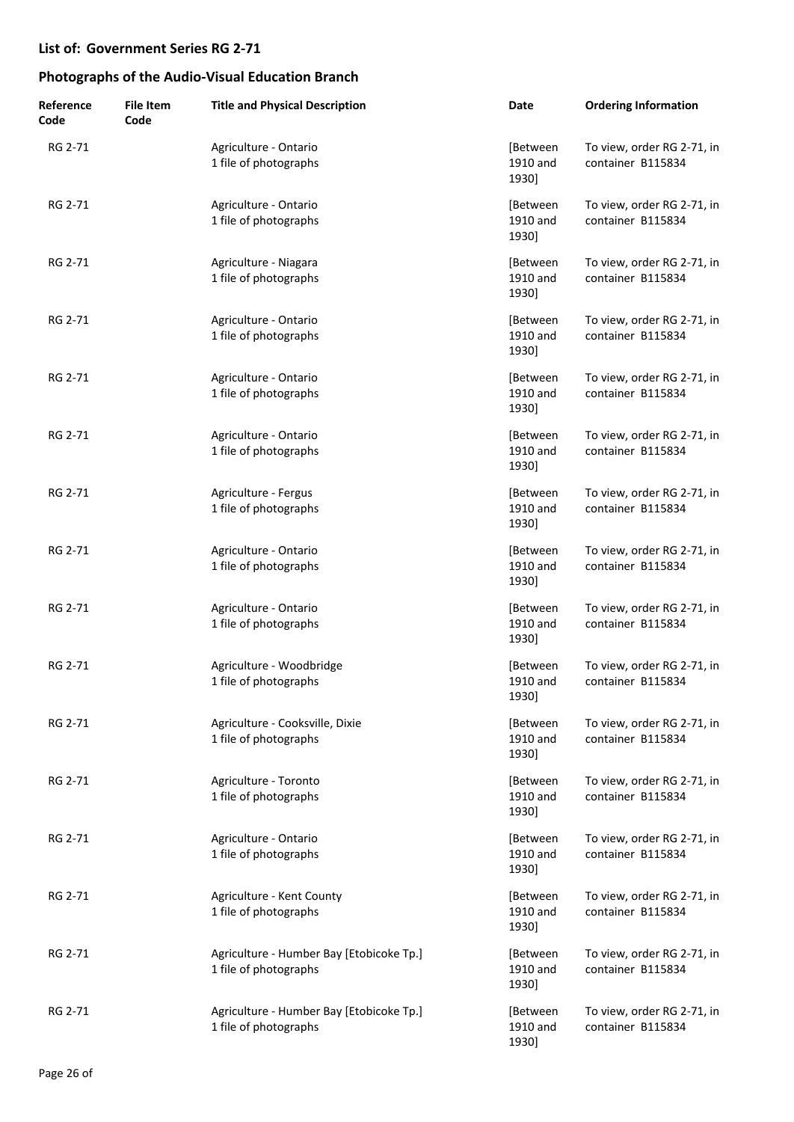| Reference<br>Code | <b>File Item</b><br>Code | <b>Title and Physical Description</b>                             | Date                          | <b>Ordering Information</b>                     |
|-------------------|--------------------------|-------------------------------------------------------------------|-------------------------------|-------------------------------------------------|
| RG 2-71           |                          | Agriculture - Ontario<br>1 file of photographs                    | [Between<br>1910 and<br>1930] | To view, order RG 2-71, in<br>container B115834 |
| RG 2-71           |                          | Agriculture - Ontario<br>1 file of photographs                    | [Between<br>1910 and<br>1930] | To view, order RG 2-71, in<br>container B115834 |
| RG 2-71           |                          | Agriculture - Niagara<br>1 file of photographs                    | [Between<br>1910 and<br>1930] | To view, order RG 2-71, in<br>container B115834 |
| RG 2-71           |                          | Agriculture - Ontario<br>1 file of photographs                    | [Between<br>1910 and<br>1930] | To view, order RG 2-71, in<br>container B115834 |
| RG 2-71           |                          | Agriculture - Ontario<br>1 file of photographs                    | [Between<br>1910 and<br>1930] | To view, order RG 2-71, in<br>container B115834 |
| RG 2-71           |                          | Agriculture - Ontario<br>1 file of photographs                    | [Between<br>1910 and<br>1930] | To view, order RG 2-71, in<br>container B115834 |
| RG 2-71           |                          | Agriculture - Fergus<br>1 file of photographs                     | [Between<br>1910 and<br>1930] | To view, order RG 2-71, in<br>container B115834 |
| RG 2-71           |                          | Agriculture - Ontario<br>1 file of photographs                    | [Between<br>1910 and<br>1930] | To view, order RG 2-71, in<br>container B115834 |
| RG 2-71           |                          | Agriculture - Ontario<br>1 file of photographs                    | [Between<br>1910 and<br>1930] | To view, order RG 2-71, in<br>container B115834 |
| RG 2-71           |                          | Agriculture - Woodbridge<br>1 file of photographs                 | [Between<br>1910 and<br>1930] | To view, order RG 2-71, in<br>container B115834 |
| RG 2-71           |                          | Agriculture - Cooksville, Dixie<br>1 file of photographs          | [Between<br>1910 and<br>1930] | To view, order RG 2-71, in<br>container B115834 |
| RG 2-71           |                          | Agriculture - Toronto<br>1 file of photographs                    | [Between<br>1910 and<br>1930] | To view, order RG 2-71, in<br>container B115834 |
| RG 2-71           |                          | Agriculture - Ontario<br>1 file of photographs                    | [Between<br>1910 and<br>1930] | To view, order RG 2-71, in<br>container B115834 |
| RG 2-71           |                          | Agriculture - Kent County<br>1 file of photographs                | [Between<br>1910 and<br>1930] | To view, order RG 2-71, in<br>container B115834 |
| RG 2-71           |                          | Agriculture - Humber Bay [Etobicoke Tp.]<br>1 file of photographs | [Between<br>1910 and<br>1930] | To view, order RG 2-71, in<br>container B115834 |
| RG 2-71           |                          | Agriculture - Humber Bay [Etobicoke Tp.]<br>1 file of photographs | [Between<br>1910 and<br>1930] | To view, order RG 2-71, in<br>container B115834 |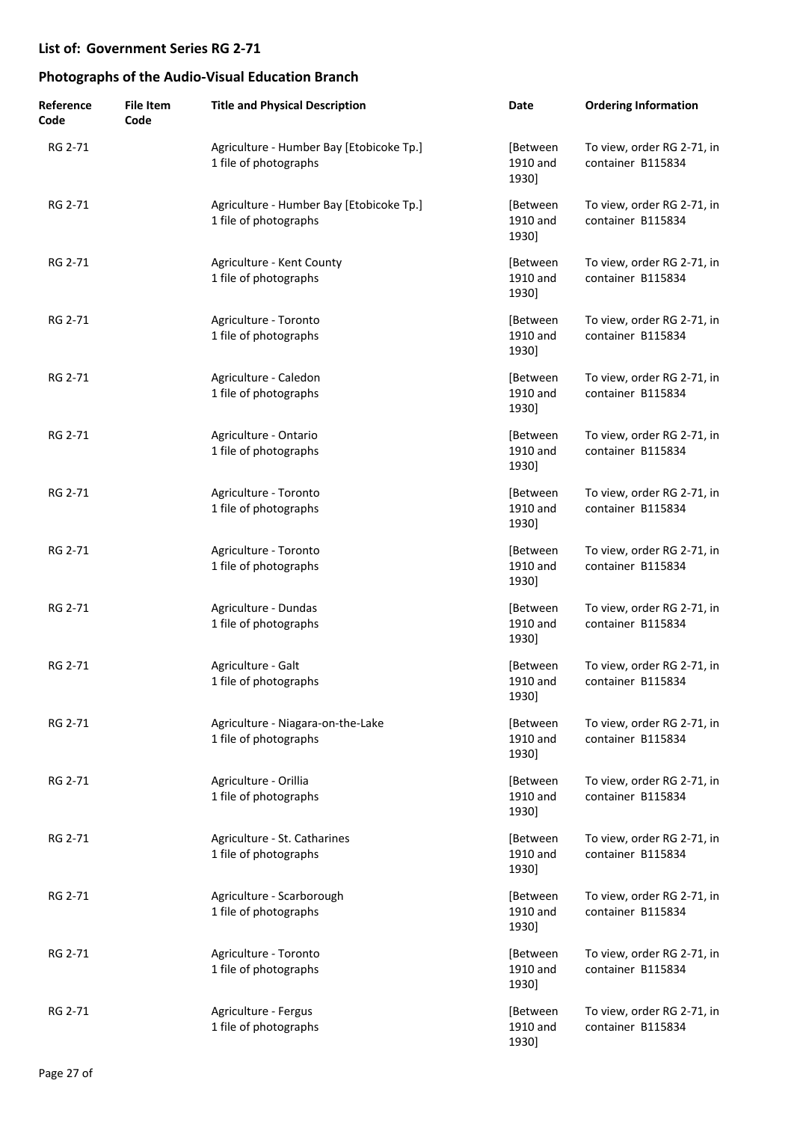| Reference<br>Code | <b>File Item</b><br>Code | <b>Title and Physical Description</b>                             | Date                          | <b>Ordering Information</b>                     |
|-------------------|--------------------------|-------------------------------------------------------------------|-------------------------------|-------------------------------------------------|
| RG 2-71           |                          | Agriculture - Humber Bay [Etobicoke Tp.]<br>1 file of photographs | [Between<br>1910 and<br>1930] | To view, order RG 2-71, in<br>container B115834 |
| RG 2-71           |                          | Agriculture - Humber Bay [Etobicoke Tp.]<br>1 file of photographs | [Between<br>1910 and<br>1930] | To view, order RG 2-71, in<br>container B115834 |
| RG 2-71           |                          | Agriculture - Kent County<br>1 file of photographs                | [Between<br>1910 and<br>1930] | To view, order RG 2-71, in<br>container B115834 |
| RG 2-71           |                          | Agriculture - Toronto<br>1 file of photographs                    | [Between<br>1910 and<br>1930] | To view, order RG 2-71, in<br>container B115834 |
| RG 2-71           |                          | Agriculture - Caledon<br>1 file of photographs                    | [Between<br>1910 and<br>1930] | To view, order RG 2-71, in<br>container B115834 |
| RG 2-71           |                          | Agriculture - Ontario<br>1 file of photographs                    | [Between<br>1910 and<br>1930] | To view, order RG 2-71, in<br>container B115834 |
| RG 2-71           |                          | Agriculture - Toronto<br>1 file of photographs                    | [Between<br>1910 and<br>1930] | To view, order RG 2-71, in<br>container B115834 |
| RG 2-71           |                          | Agriculture - Toronto<br>1 file of photographs                    | [Between<br>1910 and<br>1930] | To view, order RG 2-71, in<br>container B115834 |
| RG 2-71           |                          | Agriculture - Dundas<br>1 file of photographs                     | [Between<br>1910 and<br>1930] | To view, order RG 2-71, in<br>container B115834 |
| RG 2-71           |                          | Agriculture - Galt<br>1 file of photographs                       | [Between<br>1910 and<br>1930] | To view, order RG 2-71, in<br>container B115834 |
| RG 2-71           |                          | Agriculture - Niagara-on-the-Lake<br>1 file of photographs        | [Between<br>1910 and<br>1930] | To view, order RG 2-71, in<br>container B115834 |
| RG 2-71           |                          | Agriculture - Orillia<br>1 file of photographs                    | [Between<br>1910 and<br>1930] | To view, order RG 2-71, in<br>container B115834 |
| RG 2-71           |                          | Agriculture - St. Catharines<br>1 file of photographs             | [Between<br>1910 and<br>1930] | To view, order RG 2-71, in<br>container B115834 |
| RG 2-71           |                          | Agriculture - Scarborough<br>1 file of photographs                | [Between<br>1910 and<br>1930] | To view, order RG 2-71, in<br>container B115834 |
| RG 2-71           |                          | Agriculture - Toronto<br>1 file of photographs                    | [Between<br>1910 and<br>1930] | To view, order RG 2-71, in<br>container B115834 |
| RG 2-71           |                          | Agriculture - Fergus<br>1 file of photographs                     | [Between<br>1910 and<br>1930] | To view, order RG 2-71, in<br>container B115834 |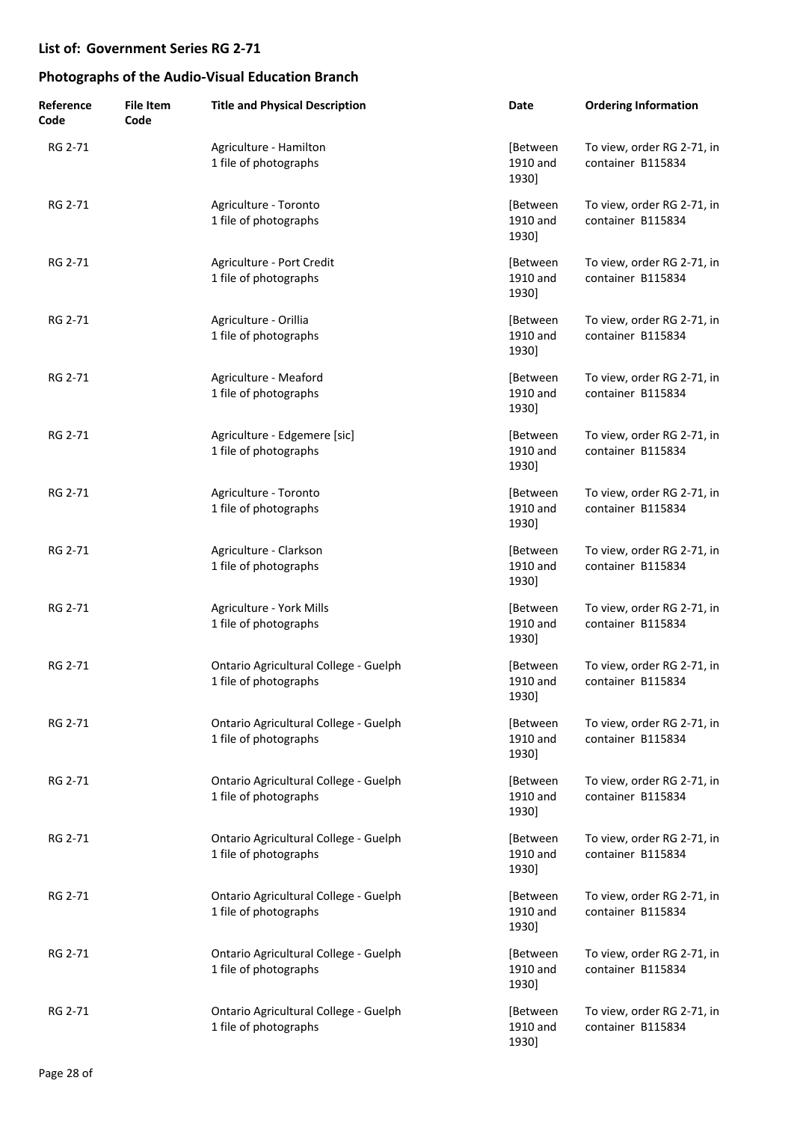| Reference<br>Code | <b>File Item</b><br>Code | <b>Title and Physical Description</b>                          | Date                          | <b>Ordering Information</b>                     |
|-------------------|--------------------------|----------------------------------------------------------------|-------------------------------|-------------------------------------------------|
| RG 2-71           |                          | Agriculture - Hamilton<br>1 file of photographs                | [Between<br>1910 and<br>1930] | To view, order RG 2-71, in<br>container B115834 |
| RG 2-71           |                          | Agriculture - Toronto<br>1 file of photographs                 | [Between<br>1910 and<br>1930] | To view, order RG 2-71, in<br>container B115834 |
| RG 2-71           |                          | Agriculture - Port Credit<br>1 file of photographs             | [Between<br>1910 and<br>1930] | To view, order RG 2-71, in<br>container B115834 |
| RG 2-71           |                          | Agriculture - Orillia<br>1 file of photographs                 | [Between<br>1910 and<br>1930] | To view, order RG 2-71, in<br>container B115834 |
| RG 2-71           |                          | Agriculture - Meaford<br>1 file of photographs                 | [Between<br>1910 and<br>1930] | To view, order RG 2-71, in<br>container B115834 |
| RG 2-71           |                          | Agriculture - Edgemere [sic]<br>1 file of photographs          | [Between<br>1910 and<br>1930] | To view, order RG 2-71, in<br>container B115834 |
| RG 2-71           |                          | Agriculture - Toronto<br>1 file of photographs                 | [Between<br>1910 and<br>1930] | To view, order RG 2-71, in<br>container B115834 |
| RG 2-71           |                          | Agriculture - Clarkson<br>1 file of photographs                | [Between<br>1910 and<br>1930] | To view, order RG 2-71, in<br>container B115834 |
| RG 2-71           |                          | Agriculture - York Mills<br>1 file of photographs              | [Between<br>1910 and<br>1930] | To view, order RG 2-71, in<br>container B115834 |
| RG 2-71           |                          | Ontario Agricultural College - Guelph<br>1 file of photographs | [Between<br>1910 and<br>1930] | To view, order RG 2-71, in<br>container B115834 |
| RG 2-71           |                          | Ontario Agricultural College - Guelph<br>1 file of photographs | [Between<br>1910 and<br>1930] | To view, order RG 2-71, in<br>container B115834 |
| RG 2-71           |                          | Ontario Agricultural College - Guelph<br>1 file of photographs | [Between<br>1910 and<br>1930] | To view, order RG 2-71, in<br>container B115834 |
| RG 2-71           |                          | Ontario Agricultural College - Guelph<br>1 file of photographs | [Between<br>1910 and<br>1930] | To view, order RG 2-71, in<br>container B115834 |
| RG 2-71           |                          | Ontario Agricultural College - Guelph<br>1 file of photographs | [Between<br>1910 and<br>1930] | To view, order RG 2-71, in<br>container B115834 |
| RG 2-71           |                          | Ontario Agricultural College - Guelph<br>1 file of photographs | [Between<br>1910 and<br>1930] | To view, order RG 2-71, in<br>container B115834 |
| RG 2-71           |                          | Ontario Agricultural College - Guelph<br>1 file of photographs | [Between<br>1910 and<br>1930] | To view, order RG 2-71, in<br>container B115834 |